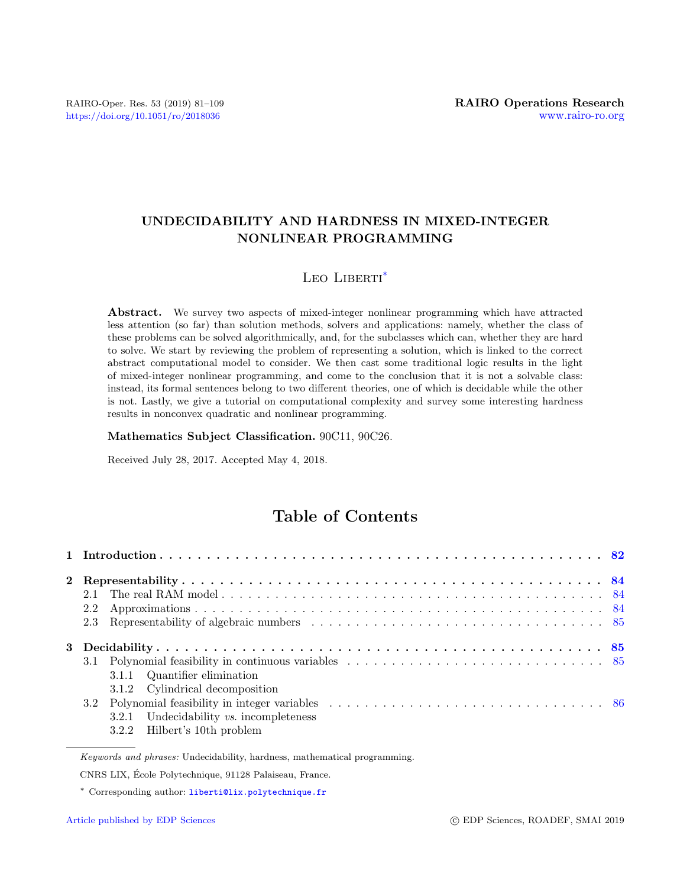# UNDECIDABILITY AND HARDNESS IN MIXED-INTEGER NONLINEAR PROGRAMMING

## LEO LIBERTI<sup>[\\*](#page-0-0)</sup>

Abstract. We survey two aspects of mixed-integer nonlinear programming which have attracted less attention (so far) than solution methods, solvers and applications: namely, whether the class of these problems can be solved algorithmically, and, for the subclasses which can, whether they are hard to solve. We start by reviewing the problem of representing a solution, which is linked to the correct abstract computational model to consider. We then cast some traditional logic results in the light of mixed-integer nonlinear programming, and come to the conclusion that it is not a solvable class: instead, its formal sentences belong to two different theories, one of which is decidable while the other is not. Lastly, we give a tutorial on computational complexity and survey some interesting hardness results in nonconvex quadratic and nonlinear programming.

### Mathematics Subject Classification. 90C11, 90C26.

Received July 28, 2017. Accepted May 4, 2018.

# Table of Contents

| $2^{\circ}$ | 2.2 |  |                                                                                                                                              |  |  |
|-------------|-----|--|----------------------------------------------------------------------------------------------------------------------------------------------|--|--|
|             | 3.2 |  | 3.1.1 Quantifier elimination<br>3.1.2 Cylindrical decomposition<br>$3.2.1$ Undecidability vs. incompleteness<br>3.2.2 Hilbert's 10th problem |  |  |

<span id="page-0-0"></span>Keywords and phrases: Undecidability, hardness, mathematical programming.

CNRS LIX, Ecole Polytechnique, 91128 Palaiseau, France. ´

<sup>\*</sup> Corresponding author: [liberti@lix.polytechnique.fr](mailto:liberti@lix.polytechnique.fr)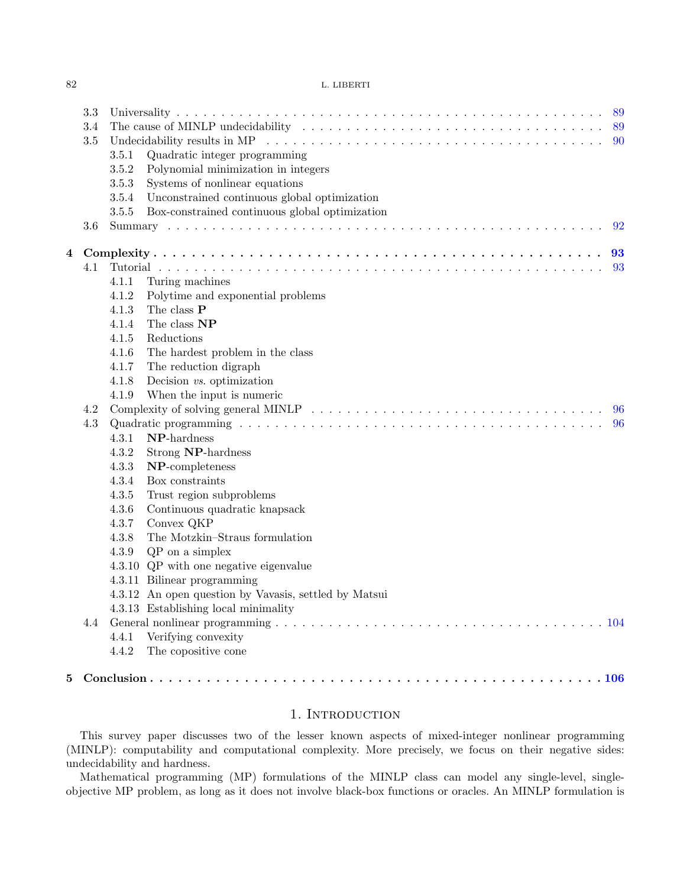|   | 3.3     |       | -89                                                   |     |  |  |
|---|---------|-------|-------------------------------------------------------|-----|--|--|
|   | 3.4     |       |                                                       |     |  |  |
|   | $3.5\,$ |       |                                                       | 90  |  |  |
|   |         | 3.5.1 | Quadratic integer programming                         |     |  |  |
|   |         | 3.5.2 | Polynomial minimization in integers                   |     |  |  |
|   |         | 3.5.3 | Systems of nonlinear equations                        |     |  |  |
|   |         | 3.5.4 | Unconstrained continuous global optimization          |     |  |  |
|   |         | 3.5.5 | Box-constrained continuous global optimization        |     |  |  |
|   | $3.6\,$ |       |                                                       | 92  |  |  |
| 4 |         | 93    |                                                       |     |  |  |
|   | 4.1     |       |                                                       | -93 |  |  |
|   |         | 4.1.1 | Turing machines                                       |     |  |  |
|   |         | 4.1.2 | Polytime and exponential problems                     |     |  |  |
|   |         | 4.1.3 | The class P                                           |     |  |  |
|   |         | 4.1.4 | The class NP                                          |     |  |  |
|   |         | 4.1.5 | Reductions                                            |     |  |  |
|   |         | 4.1.6 | The hardest problem in the class                      |     |  |  |
|   |         | 4.1.7 | The reduction digraph                                 |     |  |  |
|   |         | 4.1.8 | Decision vs. optimization                             |     |  |  |
|   |         | 4.1.9 | When the input is numeric                             |     |  |  |
|   | 4.2     |       |                                                       | 96  |  |  |
|   | 4.3     |       | 96                                                    |     |  |  |
|   |         | 4.3.1 | $NP$ -hardness                                        |     |  |  |
|   |         | 4.3.2 | Strong NP-hardness                                    |     |  |  |
|   |         | 4.3.3 | $NP$ -completeness                                    |     |  |  |
|   |         | 4.3.4 | Box constraints                                       |     |  |  |
|   |         | 4.3.5 | Trust region subproblems                              |     |  |  |
|   |         | 4.3.6 | Continuous quadratic knapsack                         |     |  |  |
|   |         | 4.3.7 | Convex QKP                                            |     |  |  |
|   |         | 4.3.8 | The Motzkin-Straus formulation                        |     |  |  |
|   |         | 4.3.9 | QP on a simplex                                       |     |  |  |
|   |         |       | 4.3.10 QP with one negative eigenvalue                |     |  |  |
|   |         |       | 4.3.11 Bilinear programming                           |     |  |  |
|   |         |       | 4.3.12 An open question by Vavasis, settled by Matsui |     |  |  |
|   |         |       | 4.3.13 Establishing local minimality                  |     |  |  |
|   | 4.4     |       |                                                       |     |  |  |
|   |         | 4.4.1 | Verifying convexity                                   |     |  |  |
|   |         | 4.4.2 | The copositive cone                                   |     |  |  |
| 5 |         |       |                                                       |     |  |  |

### 1. INTRODUCTION

<span id="page-1-0"></span>This survey paper discusses two of the lesser known aspects of mixed-integer nonlinear programming (MINLP): computability and computational complexity. More precisely, we focus on their negative sides: undecidability and hardness.

Mathematical programming (MP) formulations of the MINLP class can model any single-level, singleobjective MP problem, as long as it does not involve black-box functions or oracles. An MINLP formulation is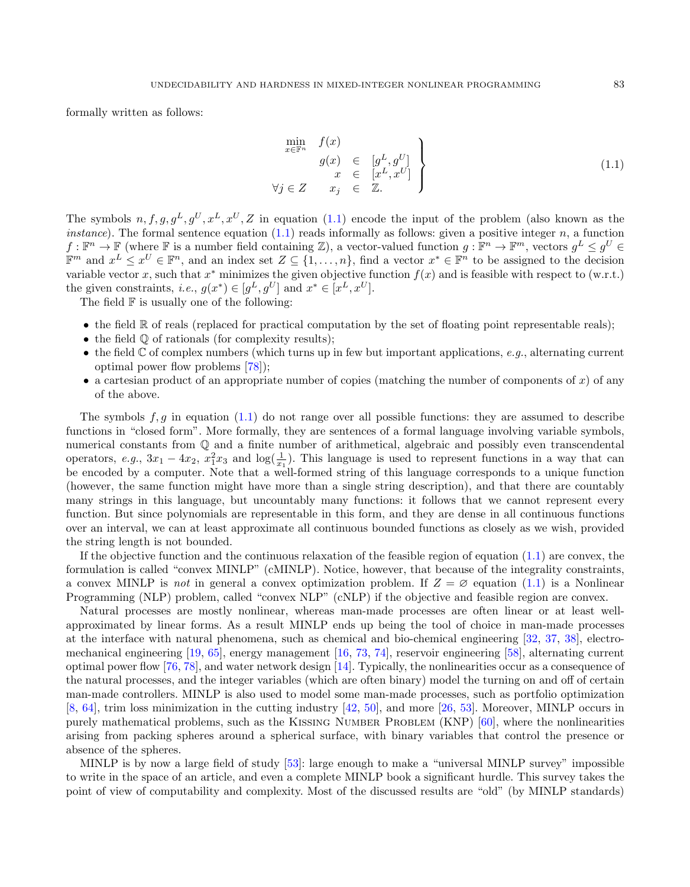formally written as follows:

<span id="page-2-0"></span>
$$
\begin{array}{rcl}\n\min_{x \in \mathbb{F}^n} & f(x) \\
g(x) & \in & [g^L, g^U] \\
x & \in & [x^L, x^U] \\
\forall j \in Z & x_j \in \mathbb{Z}.\n\end{array} \tag{1.1}
$$

The symbols  $n, f, g, g^L, g^U, x^L, x^U, Z$  in equation [\(1.1\)](#page-2-0) encode the input of the problem (also known as the *instance*). The formal sentence equation  $(1.1)$  reads informally as follows: given a positive integer n, a function  $f: \mathbb{F}^n \to \mathbb{F}$  (where  $\mathbb{F}$  is a number field containing  $\mathbb{Z}$ ), a vector-valued function  $g: \mathbb{F}^n \to \mathbb{F}^m$ , vectors  $g^L \leq g^U \in$  $\mathbb{F}^m$  and  $x^L \leq x^U \in \mathbb{F}^n$ , and an index set  $Z \subseteq \{1, \ldots, n\}$ , find a vector  $x^* \in \mathbb{F}^n$  to be assigned to the decision variable vector x, such that  $x^*$  minimizes the given objective function  $f(x)$  and is feasible with respect to (w.r.t.) the given constraints, *i.e.*,  $g(x^*) \in [g^L, g^U]$  and  $x^* \in [x^L, x^U]$ .

The field  $F$  is usually one of the following:

- the field  $\mathbb R$  of reals (replaced for practical computation by the set of floating point representable reals);
- the field  $\mathbb O$  of rationals (for complexity results);
- the field  $\mathbb C$  of complex numbers (which turns up in few but important applications, e.g., alternating current optimal power flow problems [\[78\]](#page-28-0));
- a cartesian product of an appropriate number of copies (matching the number of components of x) of any of the above.

The symbols  $f, g$  in equation [\(1.1\)](#page-2-0) do not range over all possible functions: they are assumed to describe functions in "closed form". More formally, they are sentences of a formal language involving variable symbols, numerical constants from Q and a finite number of arithmetical, algebraic and possibly even transcendental operators, e.g.,  $3x_1 - 4x_2$ ,  $x_1^2x_3$  and  $\log(\frac{1}{x_1})$ . This language is used to represent functions in a way that can be encoded by a computer. Note that a well-formed string of this language corresponds to a unique function (however, the same function might have more than a single string description), and that there are countably many strings in this language, but uncountably many functions: it follows that we cannot represent every function. But since polynomials are representable in this form, and they are dense in all continuous functions over an interval, we can at least approximate all continuous bounded functions as closely as we wish, provided the string length is not bounded.

If the objective function and the continuous relaxation of the feasible region of equation  $(1.1)$  are convex, the formulation is called "convex MINLP" (cMINLP). Notice, however, that because of the integrality constraints, a convex MINLP is not in general a convex optimization problem. If  $Z = \emptyset$  equation [\(1.1\)](#page-2-0) is a Nonlinear Programming (NLP) problem, called "convex NLP" (cNLP) if the objective and feasible region are convex.

Natural processes are mostly nonlinear, whereas man-made processes are often linear or at least wellapproximated by linear forms. As a result MINLP ends up being the tool of choice in man-made processes at the interface with natural phenomena, such as chemical and bio-chemical engineering [\[32,](#page-27-0) [37,](#page-27-1) [38\]](#page-27-2), electromechanical engineering [\[19,](#page-26-0) [65\]](#page-27-3), energy management [\[16,](#page-26-1) [73,](#page-28-1) [74\]](#page-28-2), reservoir engineering [\[58\]](#page-27-4), alternating current optimal power flow [\[76,](#page-28-3) [78\]](#page-28-0), and water network design [\[14\]](#page-26-2). Typically, the nonlinearities occur as a consequence of the natural processes, and the integer variables (which are often binary) model the turning on and off of certain man-made controllers. MINLP is also used to model some man-made processes, such as portfolio optimization [\[8,](#page-26-3) [64\]](#page-27-5), trim loss minimization in the cutting industry [\[42,](#page-27-6) [50\]](#page-27-7), and more [\[26,](#page-26-4) [53\]](#page-27-8). Moreover, MINLP occurs in purely mathematical problems, such as the KISSING NUMBER PROBLEM (KNP) [\[60\]](#page-27-9), where the nonlinearities arising from packing spheres around a spherical surface, with binary variables that control the presence or absence of the spheres.

MINLP is by now a large field of study [\[53\]](#page-27-8): large enough to make a "universal MINLP survey" impossible to write in the space of an article, and even a complete MINLP book a significant hurdle. This survey takes the point of view of computability and complexity. Most of the discussed results are "old" (by MINLP standards)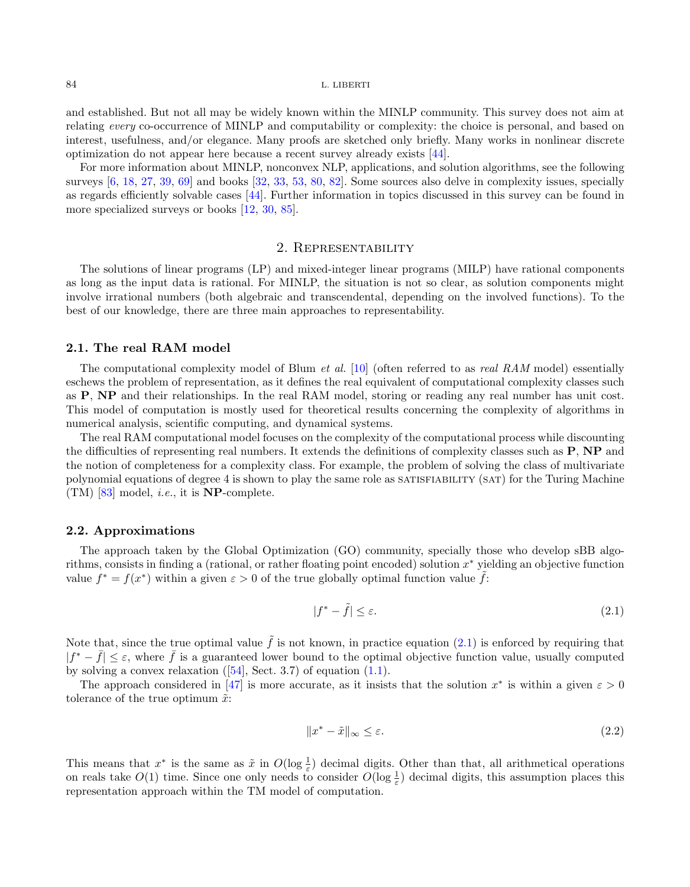and established. But not all may be widely known within the MINLP community. This survey does not aim at relating every co-occurrence of MINLP and computability or complexity: the choice is personal, and based on interest, usefulness, and/or elegance. Many proofs are sketched only briefly. Many works in nonlinear discrete optimization do not appear here because a recent survey already exists [\[44\]](#page-27-10).

For more information about MINLP, nonconvex NLP, applications, and solution algorithms, see the following surveys [\[6,](#page-26-5) [18,](#page-26-6) [27,](#page-26-7) [39,](#page-27-11) [69\]](#page-28-4) and books [\[32,](#page-27-0) [33,](#page-27-12) [53,](#page-27-8) [80,](#page-28-5) [82\]](#page-28-6). Some sources also delve in complexity issues, specially as regards efficiently solvable cases [\[44\]](#page-27-10). Further information in topics discussed in this survey can be found in more specialized surveys or books [\[12,](#page-26-8) [30,](#page-27-13) [85\]](#page-28-7).

### 2. Representability

<span id="page-3-0"></span>The solutions of linear programs (LP) and mixed-integer linear programs (MILP) have rational components as long as the input data is rational. For MINLP, the situation is not so clear, as solution components might involve irrational numbers (both algebraic and transcendental, depending on the involved functions). To the best of our knowledge, there are three main approaches to representability.

### <span id="page-3-1"></span>2.1. The real RAM model

The computational complexity model of Blum *et al.* [\[10\]](#page-26-9) (often referred to as *real RAM* model) essentially eschews the problem of representation, as it defines the real equivalent of computational complexity classes such as P, NP and their relationships. In the real RAM model, storing or reading any real number has unit cost. This model of computation is mostly used for theoretical results concerning the complexity of algorithms in numerical analysis, scientific computing, and dynamical systems.

The real RAM computational model focuses on the complexity of the computational process while discounting the difficulties of representing real numbers. It extends the definitions of complexity classes such as P, NP and the notion of completeness for a complexity class. For example, the problem of solving the class of multivariate polynomial equations of degree 4 is shown to play the same role as satisfiability (sat) for the Turing Machine  $(TM)$  [\[83\]](#page-28-8) model, *i.e.*, it is **NP**-complete.

### <span id="page-3-2"></span>2.2. Approximations

The approach taken by the Global Optimization (GO) community, specially those who develop sBB algorithms, consists in finding a (rational, or rather floating point encoded) solution  $x^*$  yielding an objective function value  $f^* = f(x^*)$  within a given  $\varepsilon > 0$  of the true globally optimal function value  $\tilde{f}$ :

<span id="page-3-3"></span>
$$
|f^* - \tilde{f}| \le \varepsilon. \tag{2.1}
$$

Note that, since the true optimal value  $\tilde{f}$  is not known, in practice equation [\(2.1\)](#page-3-3) is enforced by requiring that  $|f^* - \bar{f}| \leq \varepsilon$ , where  $\bar{f}$  is a guaranteed lower bound to the optimal objective function value, usually computed by solving a convex relaxation  $(54]$ , Sect. 3.7) of equation  $(1.1)$ .

The approach considered in [\[47\]](#page-27-15) is more accurate, as it insists that the solution  $x^*$  is within a given  $\varepsilon > 0$ tolerance of the true optimum  $\tilde{x}$ :

$$
||x^* - \tilde{x}||_{\infty} \le \varepsilon. \tag{2.2}
$$

This means that  $x^*$  is the same as  $\tilde{x}$  in  $O(\log \frac{1}{\varepsilon})$  decimal digits. Other than that, all arithmetical operations on reals take  $O(1)$  time. Since one only needs to consider  $O(\log \frac{1}{\varepsilon})$  decimal digits, this assumption places this representation approach within the TM model of computation.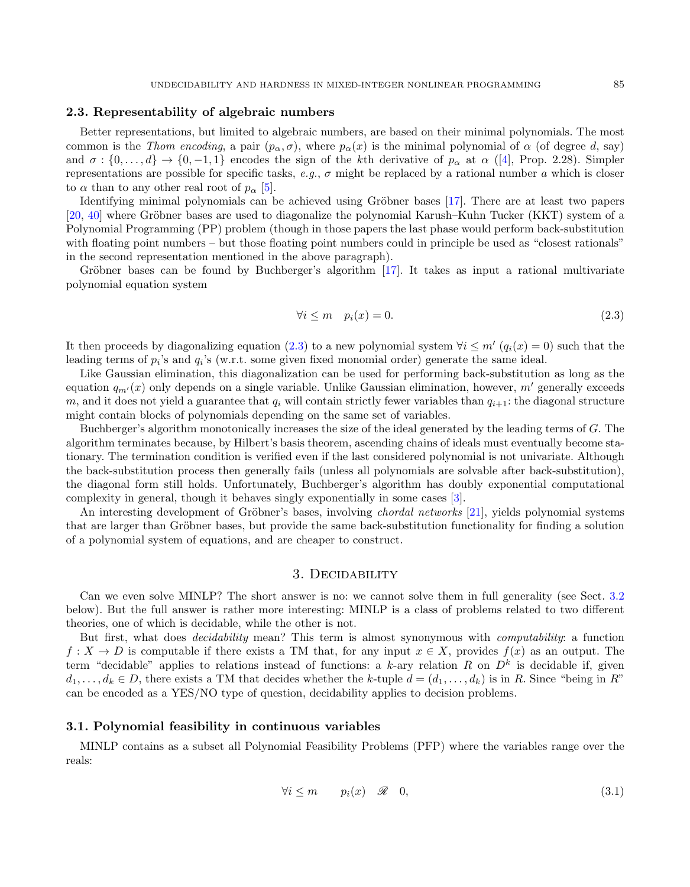### <span id="page-4-0"></span>2.3. Representability of algebraic numbers

Better representations, but limited to algebraic numbers, are based on their minimal polynomials. The most common is the Thom encoding, a pair  $(p_\alpha, \sigma)$ , where  $p_\alpha(x)$  is the minimal polynomial of  $\alpha$  (of degree d, say) and  $\sigma : \{0, \ldots, d\} \to \{0, -1, 1\}$  encodes the sign of the kth derivative of  $p_\alpha$  at  $\alpha$  ([\[4\]](#page-26-10), Prop. 2.28). Simpler representations are possible for specific tasks, e.g.,  $\sigma$  might be replaced by a rational number a which is closer to  $\alpha$  than to any other real root of  $p_{\alpha}$  [\[5\]](#page-26-11).

Identifying minimal polynomials can be achieved using Gröbner bases [\[17\]](#page-26-12). There are at least two papers  $[20, 40]$  $[20, 40]$  $[20, 40]$  where Gröbner bases are used to diagonalize the polynomial Karush–Kuhn Tucker (KKT) system of a Polynomial Programming (PP) problem (though in those papers the last phase would perform back-substitution with floating point numbers – but those floating point numbers could in principle be used as "closest rationals" in the second representation mentioned in the above paragraph).

Gröbner bases can be found by Buchberger's algorithm  $[17]$ . It takes as input a rational multivariate polynomial equation system

<span id="page-4-3"></span>
$$
\forall i \le m \quad p_i(x) = 0. \tag{2.3}
$$

It then proceeds by diagonalizing equation [\(2.3\)](#page-4-3) to a new polynomial system  $\forall i \leq m' \ (q_i(x) = 0)$  such that the leading terms of  $p_i$ 's and  $q_i$ 's (w.r.t. some given fixed monomial order) generate the same ideal.

Like Gaussian elimination, this diagonalization can be used for performing back-substitution as long as the equation  $q_{m}(x)$  only depends on a single variable. Unlike Gaussian elimination, however, m' generally exceeds m, and it does not yield a guarantee that  $q_i$  will contain strictly fewer variables than  $q_{i+1}$ : the diagonal structure might contain blocks of polynomials depending on the same set of variables.

Buchberger's algorithm monotonically increases the size of the ideal generated by the leading terms of G. The algorithm terminates because, by Hilbert's basis theorem, ascending chains of ideals must eventually become stationary. The termination condition is verified even if the last considered polynomial is not univariate. Although the back-substitution process then generally fails (unless all polynomials are solvable after back-substitution), the diagonal form still holds. Unfortunately, Buchberger's algorithm has doubly exponential computational complexity in general, though it behaves singly exponentially in some cases [\[3\]](#page-26-14).

An interesting development of Gröbner's bases, involving *chordal networks* [\[21\]](#page-26-15), yields polynomial systems that are larger than Gröbner bases, but provide the same back-substitution functionality for finding a solution of a polynomial system of equations, and are cheaper to construct.

### 3. DECIDABILITY

<span id="page-4-1"></span>Can we even solve MINLP? The short answer is no: we cannot solve them in full generality (see Sect. [3.2](#page-5-0) below). But the full answer is rather more interesting: MINLP is a class of problems related to two different theories, one of which is decidable, while the other is not.

But first, what does *decidability* mean? This term is almost synonymous with *computability*: a function  $f: X \to D$  is computable if there exists a TM that, for any input  $x \in X$ , provides  $f(x)$  as an output. The term "decidable" applies to relations instead of functions: a k-ary relation R on  $D<sup>k</sup>$  is decidable if, given  $d_1, \ldots, d_k \in D$ , there exists a TM that decides whether the k-tuple  $d = (d_1, \ldots, d_k)$  is in R. Since "being in R" can be encoded as a YES/NO type of question, decidability applies to decision problems.

### <span id="page-4-2"></span>3.1. Polynomial feasibility in continuous variables

MINLP contains as a subset all Polynomial Feasibility Problems (PFP) where the variables range over the reals:

<span id="page-4-4"></span>
$$
\forall i \le m \qquad p_i(x) \quad \mathcal{R} \quad 0,\tag{3.1}
$$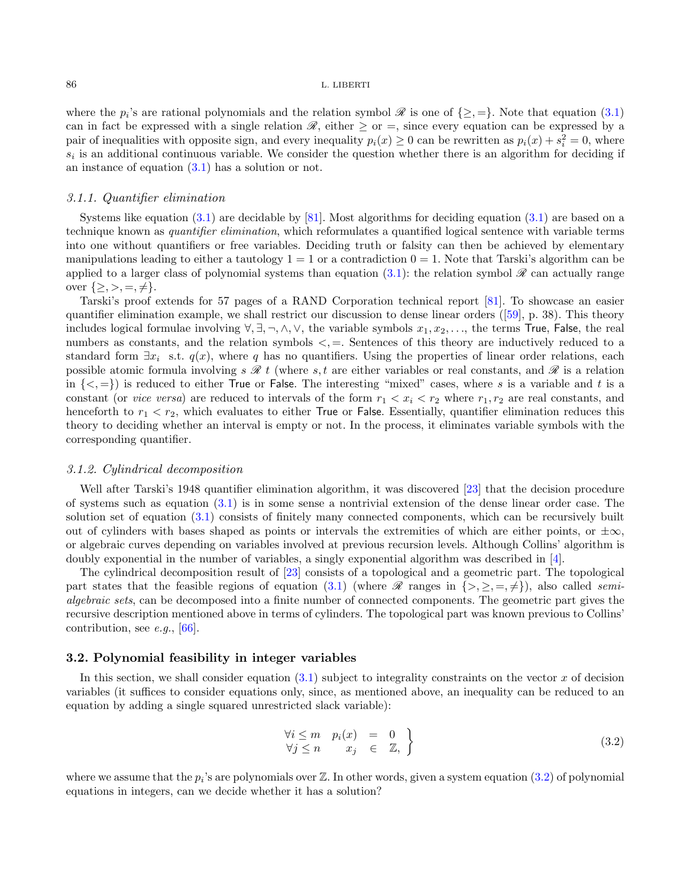where the  $p_i$ 's are rational polynomials and the relation symbol  $\mathscr R$  is one of  $\{\geq,=\}$ . Note that equation  $(3.1)$ can in fact be expressed with a single relation  $\mathscr{R}$ , either  $\geq$  or =, since every equation can be expressed by a pair of inequalities with opposite sign, and every inequality  $p_i(x) \ge 0$  can be rewritten as  $p_i(x) + s_i^2 = 0$ , where  $s_i$  is an additional continuous variable. We consider the question whether there is an algorithm for deciding if an instance of equation  $(3.1)$  has a solution or not.

#### 3.1.1. Quantifier elimination

Systems like equation [\(3.1\)](#page-4-4) are decidable by [\[81\]](#page-28-9). Most algorithms for deciding equation [\(3.1\)](#page-4-4) are based on a technique known as quantifier elimination, which reformulates a quantified logical sentence with variable terms into one without quantifiers or free variables. Deciding truth or falsity can then be achieved by elementary manipulations leading to either a tautology  $1 = 1$  or a contradiction  $0 = 1$ . Note that Tarski's algorithm can be applied to a larger class of polynomial systems than equation  $(3.1)$ : the relation symbol  $\mathscr R$  can actually range over  $\{\geq,>,=,\neq\}.$ 

Tarski's proof extends for 57 pages of a RAND Corporation technical report [\[81\]](#page-28-9). To showcase an easier quantifier elimination example, we shall restrict our discussion to dense linear orders ([\[59\]](#page-27-17), p. 38). This theory includes logical formulae involving  $\forall, \exists, \neg, \wedge, \vee$ , the variable symbols  $x_1, x_2, \dots$ , the terms True, False, the real numbers as constants, and the relation symbols  $\leq, =$ . Sentences of this theory are inductively reduced to a standard form  $\exists x_i$  s.t.  $q(x)$ , where q has no quantifiers. Using the properties of linear order relations, each possible atomic formula involving s  $\mathscr R$  t (where s, t are either variables or real constants, and  $\mathscr R$  is a relation in  $\{<,=\}\$  is reduced to either True or False. The interesting "mixed" cases, where s is a variable and t is a constant (or *vice versa*) are reduced to intervals of the form  $r_1 < x_i < r_2$  where  $r_1, r_2$  are real constants, and henceforth to  $r_1 < r_2$ , which evaluates to either True or False. Essentially, quantifier elimination reduces this theory to deciding whether an interval is empty or not. In the process, it eliminates variable symbols with the corresponding quantifier.

#### 3.1.2. Cylindrical decomposition

Well after Tarski's 1948 quantifier elimination algorithm, it was discovered [\[23\]](#page-26-16) that the decision procedure of systems such as equation [\(3.1\)](#page-4-4) is in some sense a nontrivial extension of the dense linear order case. The solution set of equation [\(3.1\)](#page-4-4) consists of finitely many connected components, which can be recursively built out of cylinders with bases shaped as points or intervals the extremities of which are either points, or  $\pm\infty$ , or algebraic curves depending on variables involved at previous recursion levels. Although Collins' algorithm is doubly exponential in the number of variables, a singly exponential algorithm was described in [\[4\]](#page-26-10).

The cylindrical decomposition result of [\[23\]](#page-26-16) consists of a topological and a geometric part. The topological part states that the feasible regions of equation [\(3.1\)](#page-4-4) (where  $\mathscr R$  ranges in  $\{>, \geq, =, \neq \}$ ), also called semialgebraic sets, can be decomposed into a finite number of connected components. The geometric part gives the recursive description mentioned above in terms of cylinders. The topological part was known previous to Collins' contribution, see  $e.g., [66]$  $e.g., [66]$ .

### <span id="page-5-0"></span>3.2. Polynomial feasibility in integer variables

In this section, we shall consider equation  $(3.1)$  subject to integrality constraints on the vector x of decision variables (it suffices to consider equations only, since, as mentioned above, an inequality can be reduced to an equation by adding a single squared unrestricted slack variable):

<span id="page-5-1"></span>
$$
\begin{array}{rcl}\n\forall i \le m & p_i(x) & = & 0 \\
\forall j \le n & x_j & \in & \mathbb{Z},\n\end{array}
$$
\n(3.2)

where we assume that the  $p_i$ 's are polynomials over  $\mathbb Z$ . In other words, given a system equation  $(3.2)$  of polynomial equations in integers, can we decide whether it has a solution?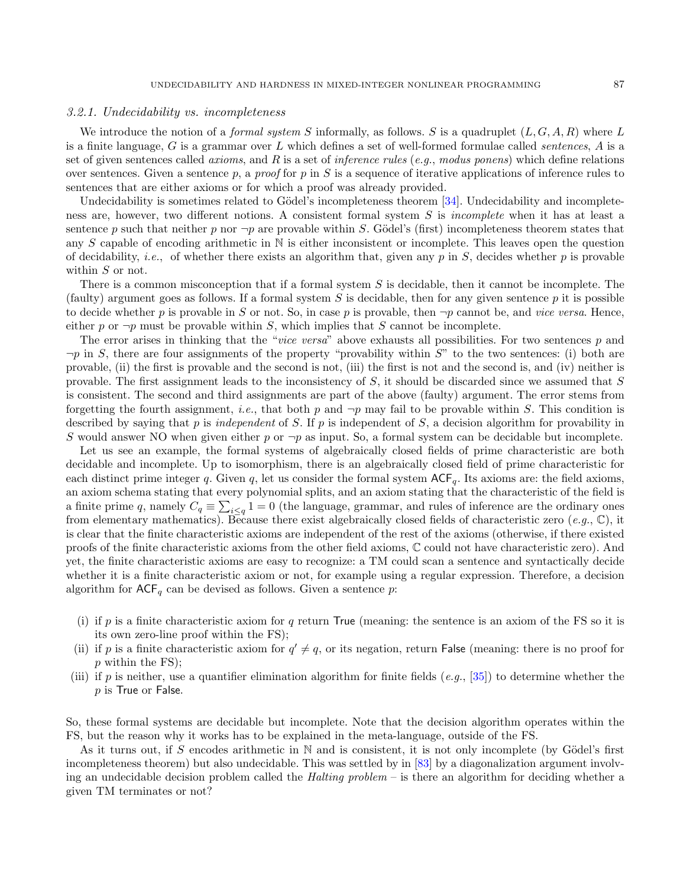### 3.2.1. Undecidability vs. incompleteness

We introduce the notion of a *formal system S* informally, as follows. S is a quadruplet  $(L, G, A, R)$  where L is a finite language,  $G$  is a grammar over  $L$  which defines a set of well-formed formulae called *sentences*,  $A$  is a set of given sentences called *axioms*, and R is a set of *inference rules* (e.g., modus ponens) which define relations over sentences. Given a sentence p, a proof for p in S is a sequence of iterative applications of inference rules to sentences that are either axioms or for which a proof was already provided.

Undecidability is sometimes related to Gödel's incompleteness theorem  $[34]$ . Undecidability and incompleteness are, however, two different notions. A consistent formal system S is incomplete when it has at least a sentence p such that neither p nor  $\neg p$  are provable within S. Gödel's (first) incompleteness theorem states that any S capable of encoding arithmetic in  $\mathbb N$  is either inconsistent or incomplete. This leaves open the question of decidability, *i.e.*, of whether there exists an algorithm that, given any  $p$  in  $S$ , decides whether  $p$  is provable within S or not.

There is a common misconception that if a formal system S is decidable, then it cannot be incomplete. The (faulty) argument goes as follows. If a formal system S is decidable, then for any given sentence p it is possible to decide whether p is provable in S or not. So, in case p is provable, then  $\neg p$  cannot be, and vice versa. Hence, either p or  $\neg p$  must be provable within S, which implies that S cannot be incomplete.

The error arises in thinking that the "vice versa" above exhausts all possibilities. For two sentences p and  $\neg p$  in S, there are four assignments of the property "provability within S" to the two sentences: (i) both are provable, (ii) the first is provable and the second is not, (iii) the first is not and the second is, and (iv) neither is provable. The first assignment leads to the inconsistency of S, it should be discarded since we assumed that S is consistent. The second and third assignments are part of the above (faulty) argument. The error stems from forgetting the fourth assignment, *i.e.*, that both p and  $\neg p$  may fail to be provable within S. This condition is described by saying that p is independent of S. If p is independent of S, a decision algorithm for provability in S would answer NO when given either p or  $\neg p$  as input. So, a formal system can be decidable but incomplete.

Let us see an example, the formal systems of algebraically closed fields of prime characteristic are both decidable and incomplete. Up to isomorphism, there is an algebraically closed field of prime characteristic for each distinct prime integer q. Given q, let us consider the formal system  $ACF<sub>q</sub>$ . Its axioms are: the field axioms, an axiom schema stating that every polynomial splits, and an axiom stating that the characteristic of the field is a finite prime q, namely  $C_q \equiv \sum_{i \leq q} 1 = 0$  (the language, grammar, and rules of inference are the ordinary ones from elementary mathematics). Because there exist algebraically closed fields of characteristic zero (e.g.,  $\mathbb{C}$ ), it is clear that the finite characteristic axioms are independent of the rest of the axioms (otherwise, if there existed proofs of the finite characteristic axioms from the other field axioms, C could not have characteristic zero). And yet, the finite characteristic axioms are easy to recognize: a TM could scan a sentence and syntactically decide whether it is a finite characteristic axiom or not, for example using a regular expression. Therefore, a decision algorithm for  $ACF_q$  can be devised as follows. Given a sentence p:

- (i) if p is a finite characteristic axiom for q return True (meaning: the sentence is an axiom of the FS so it is its own zero-line proof within the FS);
- (ii) if p is a finite characteristic axiom for  $q' \neq q$ , or its negation, return False (meaning: there is no proof for p within the FS);
- (iii) if p is neither, use a quantifier elimination algorithm for finite fields  $(e.g., [35])$  $(e.g., [35])$  $(e.g., [35])$  to determine whether the p is True or False.

So, these formal systems are decidable but incomplete. Note that the decision algorithm operates within the FS, but the reason why it works has to be explained in the meta-language, outside of the FS.

As it turns out, if S encodes arithmetic in  $\mathbb N$  and is consistent, it is not only incomplete (by Gödel's first incompleteness theorem) but also undecidable. This was settled by in [\[83\]](#page-28-8) by a diagonalization argument involving an undecidable decision problem called the *Halting problem* – is there an algorithm for deciding whether a given TM terminates or not?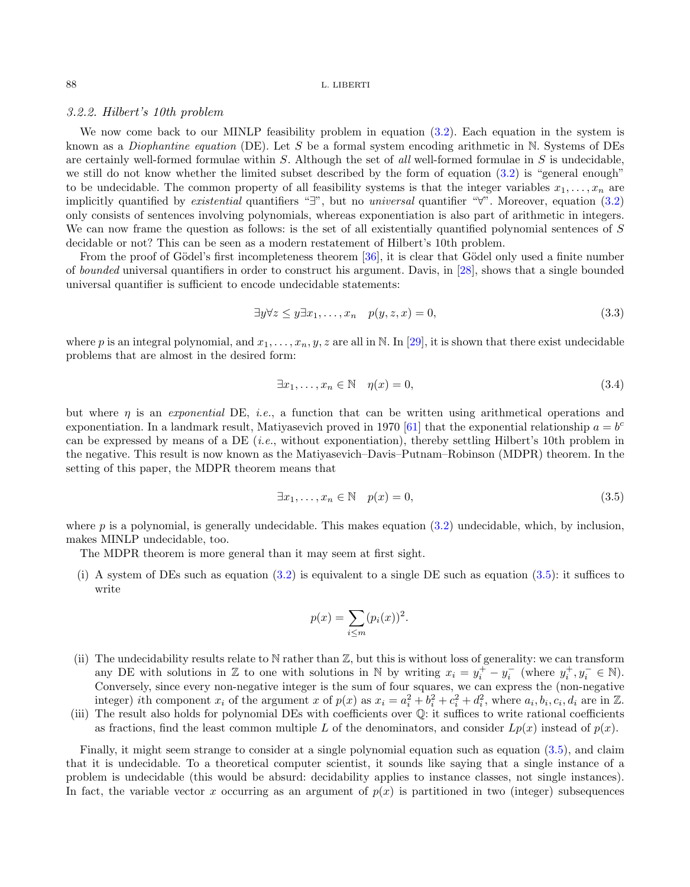### 3.2.2. Hilbert's 10th problem

We now come back to our MINLP feasibility problem in equation [\(3.2\)](#page-5-1). Each equation in the system is known as a *Diophantine equation* (DE). Let S be a formal system encoding arithmetic in  $\mathbb N$ . Systems of DEs are certainly well-formed formulae within  $S$ . Although the set of all well-formed formulae in  $S$  is undecidable. we still do not know whether the limited subset described by the form of equation  $(3.2)$  is "general enough" to be undecidable. The common property of all feasibility systems is that the integer variables  $x_1, \ldots, x_n$  are implicitly quantified by existential quantifiers "∃", but no universal quantifier "∀". Moreover, equation [\(3.2\)](#page-5-1) only consists of sentences involving polynomials, whereas exponentiation is also part of arithmetic in integers. We can now frame the question as follows: is the set of all existentially quantified polynomial sentences of S decidable or not? This can be seen as a modern restatement of Hilbert's 10th problem.

From the proof of Gödel's first incompleteness theorem  $[36]$ , it is clear that Gödel only used a finite number of bounded universal quantifiers in order to construct his argument. Davis, in [\[28\]](#page-27-21), shows that a single bounded universal quantifier is sufficient to encode undecidable statements:

$$
\exists y \forall z \le y \exists x_1, \dots, x_n \quad p(y, z, x) = 0,\tag{3.3}
$$

where p is an integral polynomial, and  $x_1, \ldots, x_n, y, z$  are all in N. In [\[29\]](#page-27-22), it is shown that there exist undecidable problems that are almost in the desired form:

$$
\exists x_1, \dots, x_n \in \mathbb{N} \quad \eta(x) = 0,\tag{3.4}
$$

but where  $\eta$  is an *exponential* DE, *i.e.*, a function that can be written using arithmetical operations and exponentiation. In a landmark result, Matiyasevich proved in 1970 [\[61\]](#page-27-23) that the exponential relationship  $a = b^c$ can be expressed by means of a DE (*i.e.*, without exponentiation), thereby settling Hilbert's 10th problem in the negative. This result is now known as the Matiyasevich–Davis–Putnam–Robinson (MDPR) theorem. In the setting of this paper, the MDPR theorem means that

<span id="page-7-0"></span>
$$
\exists x_1, \dots, x_n \in \mathbb{N} \quad p(x) = 0,\tag{3.5}
$$

where p is a polynomial, is generally undecidable. This makes equation  $(3.2)$  undecidable, which, by inclusion, makes MINLP undecidable, too.

The MDPR theorem is more general than it may seem at first sight.

(i) A system of DEs such as equation  $(3.2)$  is equivalent to a single DE such as equation  $(3.5)$ : it suffices to write

$$
p(x) = \sum_{i \le m} (p_i(x))^2.
$$

- (ii) The undecidability results relate to N rather than Z, but this is without loss of generality: we can transform any DE with solutions in Z to one with solutions in N by writing  $x_i = y_i^+ - y_i^-$  (where  $y_i^+, y_i^- \in \mathbb{N}$ ). Conversely, since every non-negative integer is the sum of four squares, we can express the (non-negative integer) *i*th component  $x_i$  of the argument  $x$  of  $p(x)$  as  $x_i = a_i^2 + b_i^2 + c_i^2 + d_i^2$ , where  $a_i, b_i, c_i, d_i$  are in  $\mathbb{Z}$ .
- (iii) The result also holds for polynomial DEs with coefficients over Q: it suffices to write rational coefficients as fractions, find the least common multiple L of the denominators, and consider  $Lp(x)$  instead of  $p(x)$ .

Finally, it might seem strange to consider at a single polynomial equation such as equation [\(3.5\)](#page-7-0), and claim that it is undecidable. To a theoretical computer scientist, it sounds like saying that a single instance of a problem is undecidable (this would be absurd: decidability applies to instance classes, not single instances). In fact, the variable vector x occurring as an argument of  $p(x)$  is partitioned in two (integer) subsequences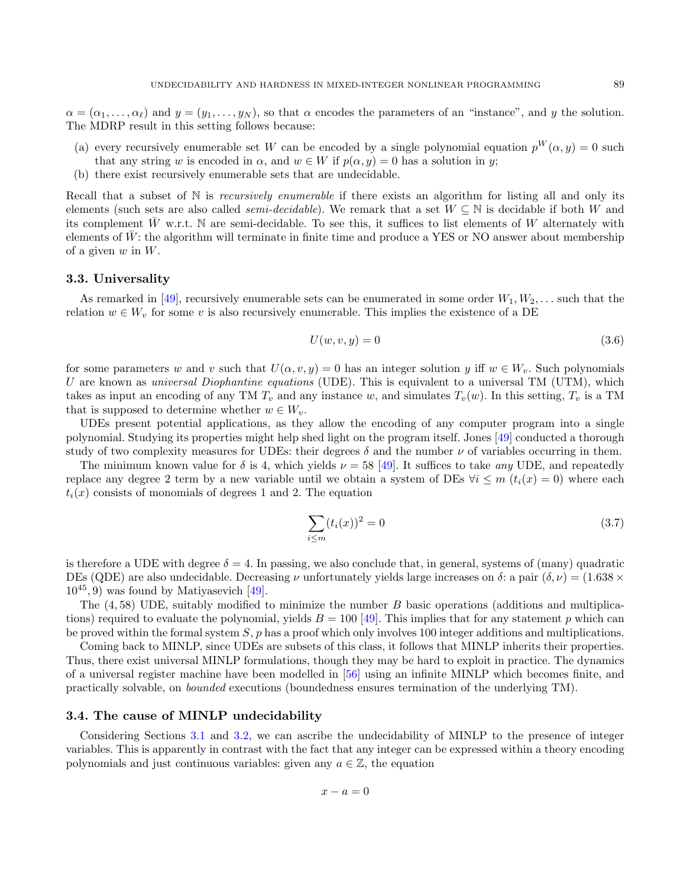$\alpha = (\alpha_1, \ldots, \alpha_\ell)$  and  $y = (y_1, \ldots, y_N)$ , so that  $\alpha$  encodes the parameters of an "instance", and y the solution. The MDRP result in this setting follows because:

- (a) every recursively enumerable set W can be encoded by a single polynomial equation  $p^{W}(\alpha, y) = 0$  such that any string w is encoded in  $\alpha$ , and  $w \in W$  if  $p(\alpha, y) = 0$  has a solution in y;
- (b) there exist recursively enumerable sets that are undecidable.

Recall that a subset of N is *recursively enumerable* if there exists an algorithm for listing all and only its elements (such sets are also called *semi-decidable*). We remark that a set  $W \subseteq \mathbb{N}$  is decidable if both W and its complement  $\bar{W}$  w.r.t. N are semi-decidable. To see this, it suffices to list elements of W alternately with elements of  $\bar{W}$ : the algorithm will terminate in finite time and produce a YES or NO answer about membership of a given  $w$  in  $W$ .

### <span id="page-8-0"></span>3.3. Universality

As remarked in [\[49\]](#page-27-24), recursively enumerable sets can be enumerated in some order  $W_1, W_2, \ldots$  such that the relation  $w \in W_v$ , for some v is also recursively enumerable. This implies the existence of a DE

$$
U(w, v, y) = 0 \tag{3.6}
$$

for some parameters w and v such that  $U(\alpha, v, y) = 0$  has an integer solution y iff  $w \in W_v$ . Such polynomials U are known as *universal Diophantine equations* (UDE). This is equivalent to a universal TM (UTM), which takes as input an encoding of any TM  $T_v$  and any instance w, and simulates  $T_v(w)$ . In this setting,  $T_v$  is a TM that is supposed to determine whether  $w \in W_v$ .

UDEs present potential applications, as they allow the encoding of any computer program into a single polynomial. Studying its properties might help shed light on the program itself. Jones [\[49\]](#page-27-24) conducted a thorough study of two complexity measures for UDEs: their degrees  $\delta$  and the number  $\nu$  of variables occurring in them.

The minimum known value for  $\delta$  is 4, which yields  $\nu = 58$  [\[49\]](#page-27-24). It suffices to take any UDE, and repeatedly replace any degree 2 term by a new variable until we obtain a system of DEs  $\forall i \leq m$  ( $t_i(x) = 0$ ) where each  $t_i(x)$  consists of monomials of degrees 1 and 2. The equation

<span id="page-8-2"></span>
$$
\sum_{i \le m} (t_i(x))^2 = 0 \tag{3.7}
$$

is therefore a UDE with degree  $\delta = 4$ . In passing, we also conclude that, in general, systems of (many) quadratic DEs (QDE) are also undecidable. Decreasing  $\nu$  unfortunately yields large increases on  $\delta$ : a pair  $(\delta, \nu) = (1.638 \times$  $10^{45}$ , 9) was found by Matiyasevich [\[49\]](#page-27-24).

The  $(4, 58)$  UDE, suitably modified to minimize the number B basic operations (additions and multiplications) required to evaluate the polynomial, yields  $B = 100$  [\[49\]](#page-27-24). This implies that for any statement p which can be proved within the formal system  $S$ , p has a proof which only involves 100 integer additions and multiplications.

Coming back to MINLP, since UDEs are subsets of this class, it follows that MINLP inherits their properties. Thus, there exist universal MINLP formulations, though they may be hard to exploit in practice. The dynamics of a universal register machine have been modelled in [\[56\]](#page-27-25) using an infinite MINLP which becomes finite, and practically solvable, on bounded executions (boundedness ensures termination of the underlying TM).

### <span id="page-8-1"></span>3.4. The cause of MINLP undecidability

Considering Sections [3.1](#page-4-2) and [3.2,](#page-5-0) we can ascribe the undecidability of MINLP to the presence of integer variables. This is apparently in contrast with the fact that any integer can be expressed within a theory encoding polynomials and just continuous variables: given any  $a \in \mathbb{Z}$ , the equation

$$
x - a = 0
$$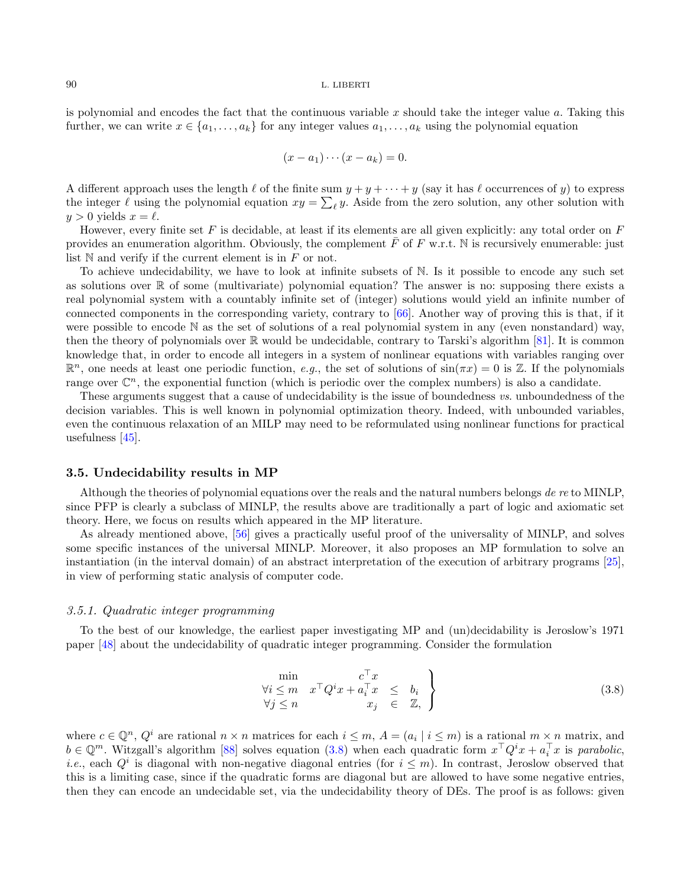is polynomial and encodes the fact that the continuous variable  $x$  should take the integer value  $a$ . Taking this further, we can write  $x \in \{a_1, \ldots, a_k\}$  for any integer values  $a_1, \ldots, a_k$  using the polynomial equation

$$
(x-a_1)\cdots(x-a_k)=0.
$$

A different approach uses the length  $\ell$  of the finite sum  $y + y + \cdots + y$  (say it has  $\ell$  occurrences of y) to express the integer  $\ell$  using the polynomial equation  $xy = \sum_{\ell} y$ . Aside from the zero solution, any other solution with  $y > 0$  yields  $x = \ell$ .

However, every finite set  $F$  is decidable, at least if its elements are all given explicitly: any total order on  $F$ provides an enumeration algorithm. Obviously, the complement  $\bar{F}$  of F w.r.t. N is recursively enumerable: just list  $\mathbb N$  and verify if the current element is in  $F$  or not.

To achieve undecidability, we have to look at infinite subsets of N. Is it possible to encode any such set as solutions over R of some (multivariate) polynomial equation? The answer is no: supposing there exists a real polynomial system with a countably infinite set of (integer) solutions would yield an infinite number of connected components in the corresponding variety, contrary to [\[66\]](#page-28-10). Another way of proving this is that, if it were possible to encode N as the set of solutions of a real polynomial system in any (even nonstandard) way, then the theory of polynomials over R would be undecidable, contrary to Tarski's algorithm [\[81\]](#page-28-9). It is common knowledge that, in order to encode all integers in a system of nonlinear equations with variables ranging over  $\mathbb{R}^n$ , one needs at least one periodic function, e.g., the set of solutions of  $sin(\pi x) = 0$  is Z. If the polynomials range over  $\mathbb{C}^n$ , the exponential function (which is periodic over the complex numbers) is also a candidate.

These arguments suggest that a cause of undecidability is the issue of boundedness vs. unboundedness of the decision variables. This is well known in polynomial optimization theory. Indeed, with unbounded variables, even the continuous relaxation of an MILP may need to be reformulated using nonlinear functions for practical usefulness [\[45\]](#page-27-26).

### <span id="page-9-0"></span>3.5. Undecidability results in MP

Although the theories of polynomial equations over the reals and the natural numbers belongs de re to MINLP. since PFP is clearly a subclass of MINLP, the results above are traditionally a part of logic and axiomatic set theory. Here, we focus on results which appeared in the MP literature.

As already mentioned above, [\[56\]](#page-27-25) gives a practically useful proof of the universality of MINLP, and solves some specific instances of the universal MINLP. Moreover, it also proposes an MP formulation to solve an instantiation (in the interval domain) of an abstract interpretation of the execution of arbitrary programs [\[25\]](#page-26-17), in view of performing static analysis of computer code.

### 3.5.1. Quadratic integer programming

To the best of our knowledge, the earliest paper investigating MP and (un)decidability is Jeroslow's 1971 paper [\[48\]](#page-27-27) about the undecidability of quadratic integer programming. Consider the formulation

<span id="page-9-1"></span>
$$
\begin{array}{ll}\n\min & c^{\top}x\\ \n\forall i \leq m & x^{\top}Q^{i}x + a_{i}^{\top}x \leq b_{i}\\ \n\forall j \leq n & x_{j} \in \mathbb{Z},\n\end{array} \right\}
$$
\n(3.8)

where  $c \in \mathbb{Q}^n$ ,  $Q^i$  are rational  $n \times n$  matrices for each  $i \leq m$ ,  $A = (a_i | i \leq m)$  is a rational  $m \times n$  matrix, and  $b \in \mathbb{Q}^m$ . Witzgall's algorithm [\[88\]](#page-28-11) solves equation [\(3.8\)](#page-9-1) when each quadratic form  $x^{\top}Q^ix + a_i^{\top}x$  is parabolic, *i.e.*, each  $Q^i$  is diagonal with non-negative diagonal entries (for  $i \leq m$ ). In contrast, Jeroslow observed that this is a limiting case, since if the quadratic forms are diagonal but are allowed to have some negative entries, then they can encode an undecidable set, via the undecidability theory of DEs. The proof is as follows: given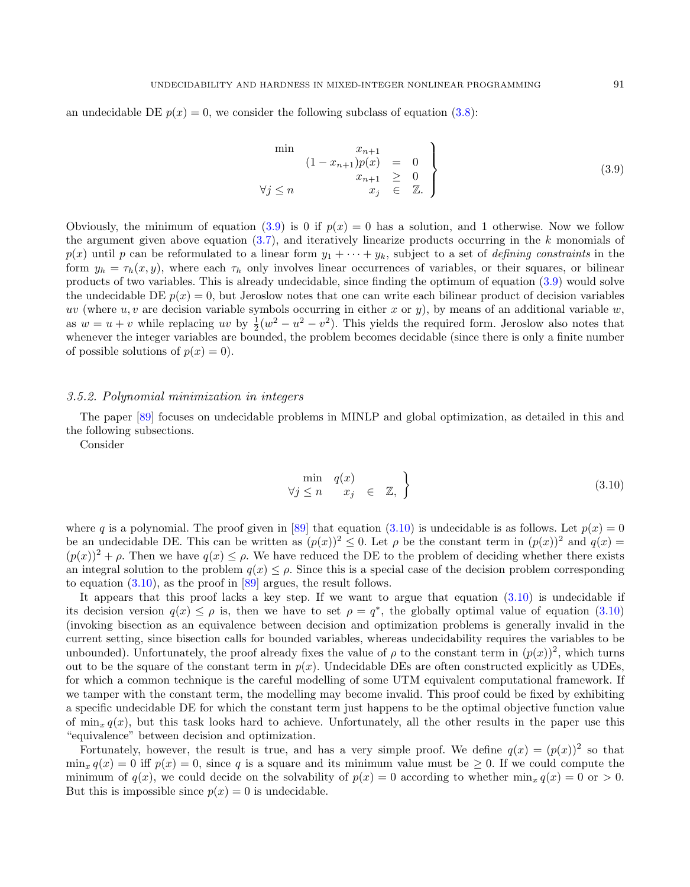an undecidable DE  $p(x) = 0$ , we consider the following subclass of equation [\(3.8\)](#page-9-1):

<span id="page-10-0"></span>
$$
\begin{array}{rcl}\n\min & x_{n+1} \\
(1-x_{n+1})p(x) & = & 0 \\
x_{n+1} & \geq & 0 \\
x_j & \in & \mathbb{Z}.\n\end{array}
$$
\n(3.9)

Obviously, the minimum of equation [\(3.9\)](#page-10-0) is 0 if  $p(x) = 0$  has a solution, and 1 otherwise. Now we follow the argument given above equation  $(3.7)$ , and iteratively linearize products occurring in the k monomials of  $p(x)$  until p can be reformulated to a linear form  $y_1 + \cdots + y_k$ , subject to a set of defining constraints in the form  $y_h = \tau_h(x, y)$ , where each  $\tau_h$  only involves linear occurrences of variables, or their squares, or bilinear products of two variables. This is already undecidable, since finding the optimum of equation [\(3.9\)](#page-10-0) would solve the undecidable DE  $p(x) = 0$ , but Jeroslow notes that one can write each bilinear product of decision variables uv (where  $u, v$  are decision variable symbols occurring in either x or y), by means of an additional variable w, as  $w = u + v$  while replacing uv by  $\frac{1}{2}(w^2 - u^2 - v^2)$ . This yields the required form. Jeroslow also notes that whenever the integer variables are bounded, the problem becomes decidable (since there is only a finite number of possible solutions of  $p(x) = 0$ .

### 3.5.2. Polynomial minimization in integers

The paper [\[89\]](#page-28-12) focuses on undecidable problems in MINLP and global optimization, as detailed in this and the following subsections.

Consider

<span id="page-10-1"></span>
$$
\begin{array}{ll}\n\min \quad q(x) \\
\forall j \le n \quad x_j \in \mathbb{Z},\n\end{array} \right\} \tag{3.10}
$$

where q is a polynomial. The proof given in [\[89\]](#page-28-12) that equation [\(3.10\)](#page-10-1) is undecidable is as follows. Let  $p(x) = 0$ be an undecidable DE. This can be written as  $(p(x))^2 \leq 0$ . Let  $\rho$  be the constant term in  $(p(x))^2$  and  $q(x)$  $(p(x))^{2} + \rho$ . Then we have  $q(x) \leq \rho$ . We have reduced the DE to the problem of deciding whether there exists an integral solution to the problem  $q(x) \leq \rho$ . Since this is a special case of the decision problem corresponding to equation  $(3.10)$ , as the proof in [\[89\]](#page-28-12) argues, the result follows.

It appears that this proof lacks a key step. If we want to argue that equation  $(3.10)$  is undecidable if its decision version  $q(x) \leq \rho$  is, then we have to set  $\rho = q^*$ , the globally optimal value of equation [\(3.10\)](#page-10-1) (invoking bisection as an equivalence between decision and optimization problems is generally invalid in the current setting, since bisection calls for bounded variables, whereas undecidability requires the variables to be unbounded). Unfortunately, the proof already fixes the value of  $\rho$  to the constant term in  $(p(x))^2$ , which turns out to be the square of the constant term in  $p(x)$ . Undecidable DEs are often constructed explicitly as UDEs, for which a common technique is the careful modelling of some UTM equivalent computational framework. If we tamper with the constant term, the modelling may become invalid. This proof could be fixed by exhibiting a specific undecidable DE for which the constant term just happens to be the optimal objective function value of  $\min_x q(x)$ , but this task looks hard to achieve. Unfortunately, all the other results in the paper use this "equivalence" between decision and optimization.

Fortunately, however, the result is true, and has a very simple proof. We define  $q(x) = (p(x))^2$  so that  $\min_x q(x) = 0$  iff  $p(x) = 0$ , since q is a square and its minimum value must be  $\geq 0$ . If we could compute the minimum of  $q(x)$ , we could decide on the solvability of  $p(x) = 0$  according to whether  $\min_x q(x) = 0$  or  $> 0$ . But this is impossible since  $p(x) = 0$  is undecidable.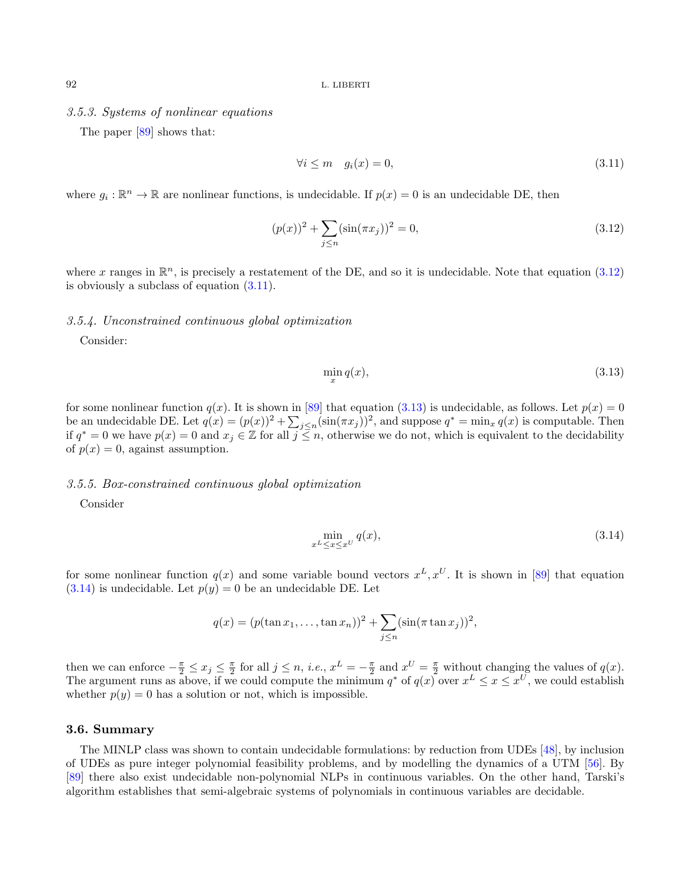### 3.5.3. Systems of nonlinear equations

The paper [\[89\]](#page-28-12) shows that:

<span id="page-11-2"></span>
$$
\forall i \le m \quad g_i(x) = 0,\tag{3.11}
$$

where  $g_i : \mathbb{R}^n \to \mathbb{R}$  are nonlinear functions, is undecidable. If  $p(x) = 0$  is an undecidable DE, then

<span id="page-11-1"></span>
$$
(p(x))^{2} + \sum_{j \leq n} (\sin(\pi x_{j}))^{2} = 0,
$$
\n(3.12)

where x ranges in  $\mathbb{R}^n$ , is precisely a restatement of the DE, and so it is undecidable. Note that equation [\(3.12\)](#page-11-1) is obviously a subclass of equation [\(3.11\)](#page-11-2).

### 3.5.4. Unconstrained continuous global optimization

Consider:

<span id="page-11-3"></span>
$$
\min_{x} q(x),\tag{3.13}
$$

for some nonlinear function  $q(x)$ . It is shown in [\[89\]](#page-28-12) that equation [\(3.13\)](#page-11-3) is undecidable, as follows. Let  $p(x) = 0$ be an undecidable DE. Let  $q(x) = (p(x))^2 + \sum_{j \leq n} (\sin(\pi x_j))^2$ , and suppose  $q^* = \min_x q(x)$  is computable. Then if  $q^* = 0$  we have  $p(x) = 0$  and  $x_j \in \mathbb{Z}$  for all  $j \leq n$ , otherwise we do not, which is equivalent to the decidability of  $p(x) = 0$ , against assumption.

### 3.5.5. Box-constrained continuous global optimization

Consider

<span id="page-11-4"></span>
$$
\min_{x^L \le x \le x^U} q(x),\tag{3.14}
$$

for some nonlinear function  $q(x)$  and some variable bound vectors  $x^L, x^U$ . It is shown in [\[89\]](#page-28-12) that equation  $(3.14)$  is undecidable. Let  $p(y) = 0$  be an undecidable DE. Let

$$
q(x) = (p(\tan x_1, ..., \tan x_n))^2 + \sum_{j \le n} (\sin(\pi \tan x_j))^2
$$
,

then we can enforce  $-\frac{\pi}{2} \le x_j \le \frac{\pi}{2}$  for all  $j \le n$ , *i.e.*,  $x^L = -\frac{\pi}{2}$  and  $x^U = \frac{\pi}{2}$  without changing the values of  $q(x)$ . The argument runs as above, if we could compute the minimum  $q^*$  of  $q(x)$  over  $x^L \leq x \leq x^U$ , we could establish whether  $p(y) = 0$  has a solution or not, which is impossible.

### <span id="page-11-0"></span>3.6. Summary

The MINLP class was shown to contain undecidable formulations: by reduction from UDEs [\[48\]](#page-27-27), by inclusion of UDEs as pure integer polynomial feasibility problems, and by modelling the dynamics of a UTM [\[56\]](#page-27-25). By [\[89\]](#page-28-12) there also exist undecidable non-polynomial NLPs in continuous variables. On the other hand, Tarski's algorithm establishes that semi-algebraic systems of polynomials in continuous variables are decidable.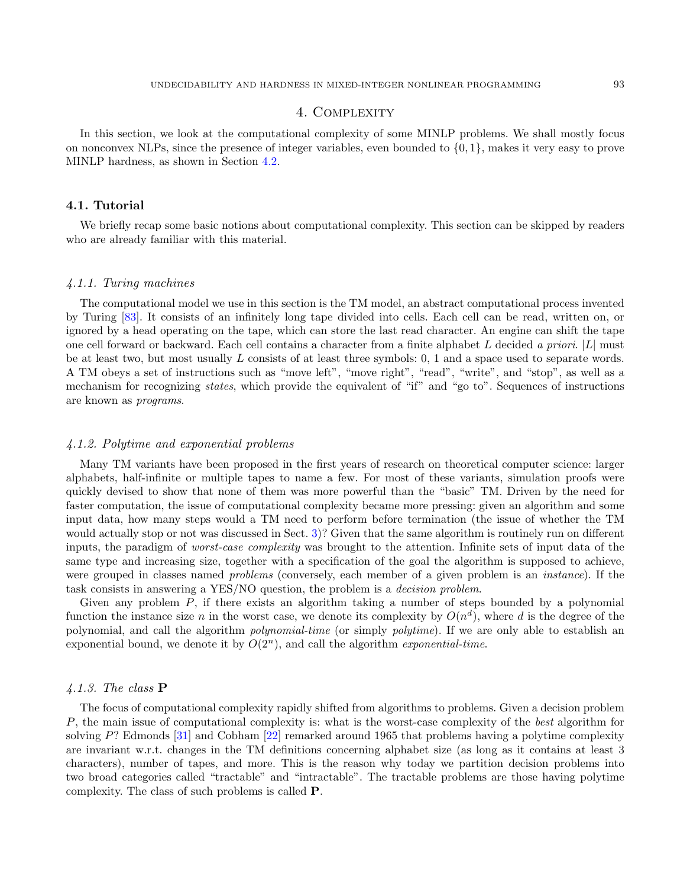### 4. Complexity

<span id="page-12-0"></span>In this section, we look at the computational complexity of some MINLP problems. We shall mostly focus on nonconvex NLPs, since the presence of integer variables, even bounded to  $\{0, 1\}$ , makes it very easy to prove MINLP hardness, as shown in Section [4.2.](#page-15-0)

### <span id="page-12-1"></span>4.1. Tutorial

We briefly recap some basic notions about computational complexity. This section can be skipped by readers who are already familiar with this material.

### 4.1.1. Turing machines

The computational model we use in this section is the TM model, an abstract computational process invented by Turing [\[83\]](#page-28-8). It consists of an infinitely long tape divided into cells. Each cell can be read, written on, or ignored by a head operating on the tape, which can store the last read character. An engine can shift the tape one cell forward or backward. Each cell contains a character from a finite alphabet L decided a priori.  $|L|$  must be at least two, but most usually L consists of at least three symbols: 0, 1 and a space used to separate words. A TM obeys a set of instructions such as "move left", "move right", "read", "write", and "stop", as well as a mechanism for recognizing states, which provide the equivalent of "if" and "go to". Sequences of instructions are known as programs.

### 4.1.2. Polytime and exponential problems

Many TM variants have been proposed in the first years of research on theoretical computer science: larger alphabets, half-infinite or multiple tapes to name a few. For most of these variants, simulation proofs were quickly devised to show that none of them was more powerful than the "basic" TM. Driven by the need for faster computation, the issue of computational complexity became more pressing: given an algorithm and some input data, how many steps would a TM need to perform before termination (the issue of whether the TM would actually stop or not was discussed in Sect. [3\)](#page-4-1)? Given that the same algorithm is routinely run on different inputs, the paradigm of worst-case complexity was brought to the attention. Infinite sets of input data of the same type and increasing size, together with a specification of the goal the algorithm is supposed to achieve, were grouped in classes named *problems* (conversely, each member of a given problem is an *instance*). If the task consists in answering a YES/NO question, the problem is a decision problem.

Given any problem  $P$ , if there exists an algorithm taking a number of steps bounded by a polynomial function the instance size n in the worst case, we denote its complexity by  $O(n^d)$ , where d is the degree of the polynomial, and call the algorithm polynomial-time (or simply polytime). If we are only able to establish an exponential bound, we denote it by  $O(2<sup>n</sup>)$ , and call the algorithm *exponential-time*.

### 4.1.3. The class P

The focus of computational complexity rapidly shifted from algorithms to problems. Given a decision problem P, the main issue of computational complexity is: what is the worst-case complexity of the best algorithm for solving P? Edmonds [\[31\]](#page-27-28) and Cobham [\[22\]](#page-26-18) remarked around 1965 that problems having a polytime complexity are invariant w.r.t. changes in the TM definitions concerning alphabet size (as long as it contains at least 3 characters), number of tapes, and more. This is the reason why today we partition decision problems into two broad categories called "tractable" and "intractable". The tractable problems are those having polytime complexity. The class of such problems is called P.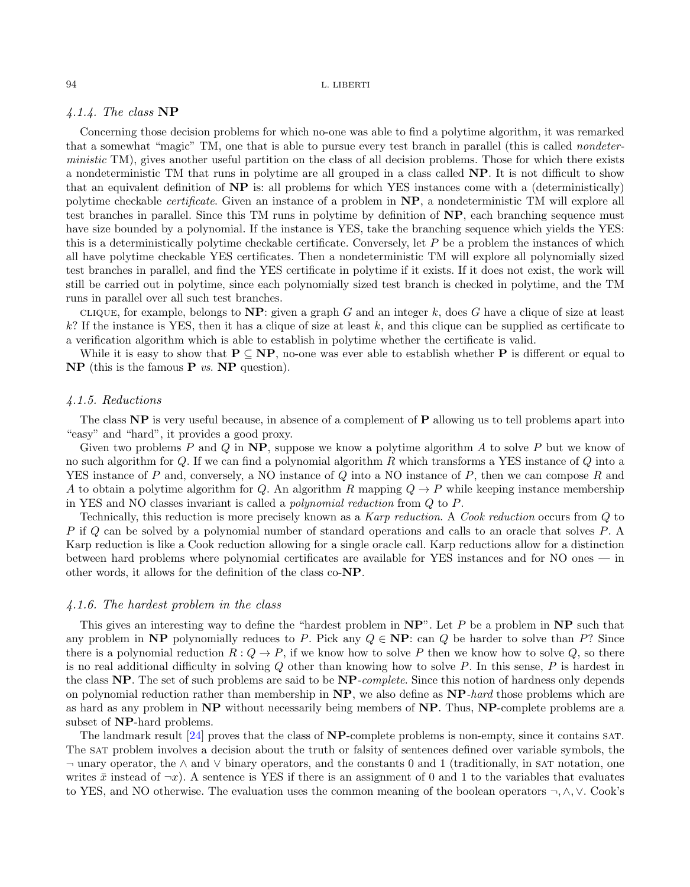### 4.1.4. The class NP

Concerning those decision problems for which no-one was able to find a polytime algorithm, it was remarked that a somewhat "magic" TM, one that is able to pursue every test branch in parallel (this is called nondeterministic TM), gives another useful partition on the class of all decision problems. Those for which there exists a nondeterministic TM that runs in polytime are all grouped in a class called NP. It is not difficult to show that an equivalent definition of NP is: all problems for which YES instances come with a (deterministically) polytime checkable certificate. Given an instance of a problem in NP, a nondeterministic TM will explore all test branches in parallel. Since this TM runs in polytime by definition of NP, each branching sequence must have size bounded by a polynomial. If the instance is YES, take the branching sequence which yields the YES: this is a deterministically polytime checkable certificate. Conversely, let  $P$  be a problem the instances of which all have polytime checkable YES certificates. Then a nondeterministic TM will explore all polynomially sized test branches in parallel, and find the YES certificate in polytime if it exists. If it does not exist, the work will still be carried out in polytime, since each polynomially sized test branch is checked in polytime, and the TM runs in parallel over all such test branches.

clique, for example, belongs to  $NP$ : given a graph G and an integer k, does G have a clique of size at least  $k$ ? If the instance is YES, then it has a clique of size at least k, and this clique can be supplied as certificate to a verification algorithm which is able to establish in polytime whether the certificate is valid.

While it is easy to show that  $P \subseteq NP$ , no-one was ever able to establish whether P is different or equal to  $NP$  (this is the famous P vs. NP question).

#### <span id="page-13-0"></span>4.1.5. Reductions

The class  $\bf NP$  is very useful because, in absence of a complement of  $\bf P$  allowing us to tell problems apart into "easy" and "hard", it provides a good proxy.

Given two problems P and Q in  $NP$ , suppose we know a polytime algorithm A to solve P but we know of no such algorithm for  $Q$ . If we can find a polynomial algorithm R which transforms a YES instance of  $Q$  into a YES instance of P and, conversely, a NO instance of Q into a NO instance of P, then we can compose R and A to obtain a polytime algorithm for Q. An algorithm R mapping  $Q \to P$  while keeping instance membership in YES and NO classes invariant is called a polynomial reduction from Q to P.

Technically, this reduction is more precisely known as a Karp reduction. A Cook reduction occurs from Q to P if Q can be solved by a polynomial number of standard operations and calls to an oracle that solves P. A Karp reduction is like a Cook reduction allowing for a single oracle call. Karp reductions allow for a distinction between hard problems where polynomial certificates are available for YES instances and for NO ones — in other words, it allows for the definition of the class co-NP.

### 4.1.6. The hardest problem in the class

This gives an interesting way to define the "hardest problem in  $\bf NP$ ". Let P be a problem in  $\bf NP$  such that any problem in NP polynomially reduces to P. Pick any  $Q \in NP$ : can Q be harder to solve than P? Since there is a polynomial reduction  $R: Q \to P$ , if we know how to solve P then we know how to solve Q, so there is no real additional difficulty in solving  $Q$  other than knowing how to solve  $P$ . In this sense,  $P$  is hardest in the class NP. The set of such problems are said to be NP-complete. Since this notion of hardness only depends on polynomial reduction rather than membership in  $NP$ , we also define as  $NP$ -hard those problems which are as hard as any problem in NP without necessarily being members of NP. Thus, NP-complete problems are a subset of NP-hard problems.

The landmark result [\[24\]](#page-26-19) proves that the class of **NP**-complete problems is non-empty, since it contains SAT. The sat problem involves a decision about the truth or falsity of sentences defined over variable symbols, the ¬ unary operator, the ∧ and ∨ binary operators, and the constants 0 and 1 (traditionally, in sat notation, one writes  $\bar{x}$  instead of  $\neg x$ ). A sentence is YES if there is an assignment of 0 and 1 to the variables that evaluates to YES, and NO otherwise. The evaluation uses the common meaning of the boolean operators ¬, ∧, ∨. Cook's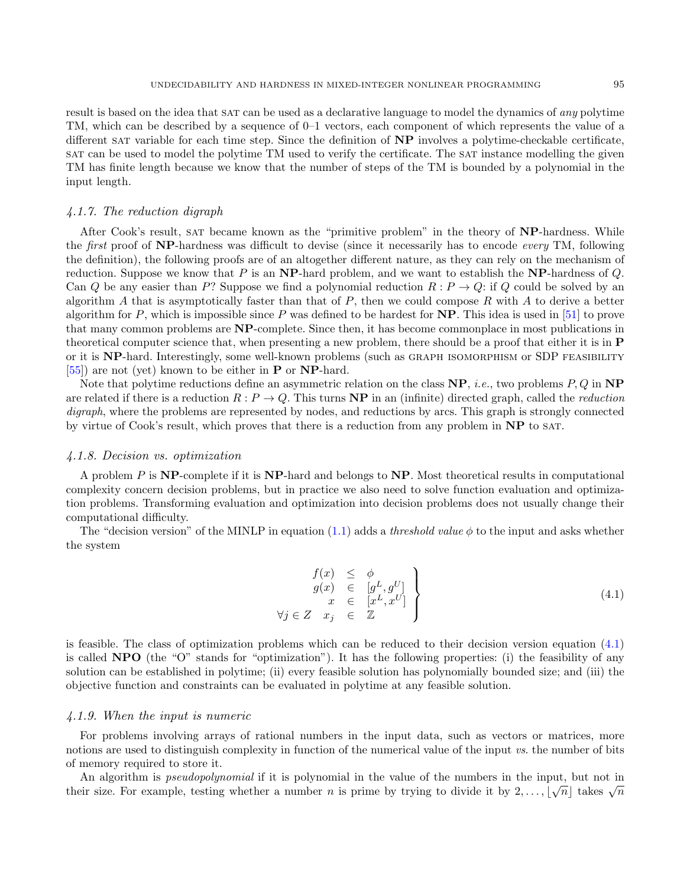result is based on the idea that SAT can be used as a declarative language to model the dynamics of any polytime TM, which can be described by a sequence of 0–1 vectors, each component of which represents the value of a different sat variable for each time step. Since the definition of  $NP$  involves a polytime-checkable certificate, sat can be used to model the polytime TM used to verify the certificate. The sat instance modelling the given TM has finite length because we know that the number of steps of the TM is bounded by a polynomial in the input length.

### 4.1.7. The reduction digraph

After Cook's result, sat became known as the "primitive problem" in the theory of NP-hardness. While the first proof of NP-hardness was difficult to devise (since it necessarily has to encode every TM, following the definition), the following proofs are of an altogether different nature, as they can rely on the mechanism of reduction. Suppose we know that P is an NP-hard problem, and we want to establish the NP-hardness of  $Q$ . Can Q be any easier than P? Suppose we find a polynomial reduction  $R: P \to Q$ : if Q could be solved by an algorithm A that is asymptotically faster than that of  $P$ , then we could compose  $R$  with A to derive a better algorithm for P, which is impossible since P was defined to be hardest for  $NP$ . This idea is used in [\[51\]](#page-27-29) to prove that many common problems are NP-complete. Since then, it has become commonplace in most publications in theoretical computer science that, when presenting a new problem, there should be a proof that either it is in P or it is NP-hard. Interestingly, some well-known problems (such as GRAPH ISOMORPHISM or SDP FEASIBILITY [\[55\]](#page-27-30)) are not (yet) known to be either in P or NP-hard.

Note that polytime reductions define an asymmetric relation on the class  $\bf NP$ , *i.e.*, two problems P, Q in  $\bf NP$ are related if there is a reduction  $R: P \to Q$ . This turns **NP** in an (infinite) directed graph, called the *reduction* digraph, where the problems are represented by nodes, and reductions by arcs. This graph is strongly connected by virtue of Cook's result, which proves that there is a reduction from any problem in NP to SAT.

### 4.1.8. Decision vs. optimization

A problem  $P$  is  $NP$ -complete if it is  $NP$ -hard and belongs to  $NP$ . Most theoretical results in computational complexity concern decision problems, but in practice we also need to solve function evaluation and optimization problems. Transforming evaluation and optimization into decision problems does not usually change their computational difficulty.

The "decision version" of the MINLP in equation [\(1.1\)](#page-2-0) adds a *threshold value*  $\phi$  to the input and asks whether the system

<span id="page-14-0"></span>
$$
f(x) \leq \phi
$$
  
\n
$$
g(x) \in [g^L, g^U]
$$
  
\n
$$
x \in [x^L, x^U]
$$
  
\n
$$
\forall j \in Z \quad x_j \in \mathbb{Z}
$$
\n(4.1)

is feasible. The class of optimization problems which can be reduced to their decision version equation [\(4.1\)](#page-14-0) is called NPO (the "O" stands for "optimization"). It has the following properties: (i) the feasibility of any solution can be established in polytime; (ii) every feasible solution has polynomially bounded size; and (iii) the objective function and constraints can be evaluated in polytime at any feasible solution.

### 4.1.9. When the input is numeric

For problems involving arrays of rational numbers in the input data, such as vectors or matrices, more notions are used to distinguish complexity in function of the numerical value of the input vs. the number of bits of memory required to store it.

An algorithm is *pseudopolynomial* if it is polynomial in the value of the numbers in the input, but not in An algorithm is *pseudopolyhomial* if it is polyhomial in the value of the numbers in the input, but not in<br>their size. For example, testing whether a number n is prime by trying to divide it by  $2, \ldots, \lfloor \sqrt{n} \rfloor$  takes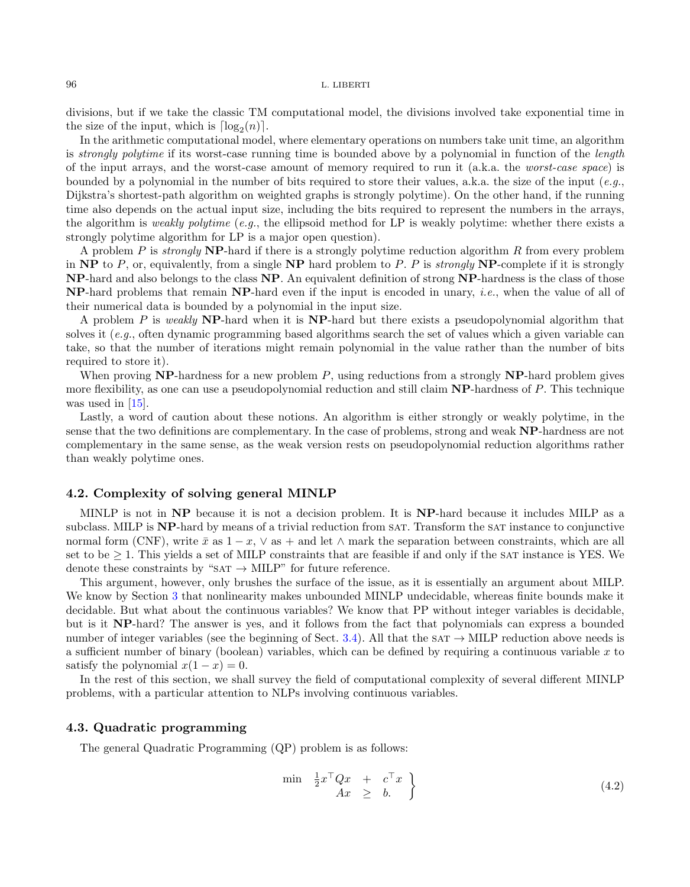divisions, but if we take the classic TM computational model, the divisions involved take exponential time in the size of the input, which is  $\lceil \log_2(n) \rceil$ .

In the arithmetic computational model, where elementary operations on numbers take unit time, an algorithm is *strongly polytime* if its worst-case running time is bounded above by a polynomial in function of the *length* of the input arrays, and the worst-case amount of memory required to run it (a.k.a. the worst-case space) is bounded by a polynomial in the number of bits required to store their values, a.k.a. the size of the input  $(e.g.,)$ Dijkstra's shortest-path algorithm on weighted graphs is strongly polytime). On the other hand, if the running time also depends on the actual input size, including the bits required to represent the numbers in the arrays, the algorithm is weakly polytime (e.g., the ellipsoid method for LP is weakly polytime: whether there exists a strongly polytime algorithm for LP is a major open question).

A problem P is *strongly* NP-hard if there is a strongly polytime reduction algorithm R from every problem in NP to P, or, equivalently, from a single NP hard problem to P. P is *strongly* NP-complete if it is strongly NP-hard and also belongs to the class NP. An equivalent definition of strong NP-hardness is the class of those NP-hard problems that remain NP-hard even if the input is encoded in unary, i.e., when the value of all of their numerical data is bounded by a polynomial in the input size.

A problem P is weakly  $NP$ -hard when it is  $NP$ -hard but there exists a pseudopolynomial algorithm that solves it (e.g., often dynamic programming based algorithms search the set of values which a given variable can take, so that the number of iterations might remain polynomial in the value rather than the number of bits required to store it).

When proving  $NP$ -hardness for a new problem P, using reductions from a strongly  $NP$ -hard problem gives more flexibility, as one can use a pseudopolynomial reduction and still claim **NP**-hardness of P. This technique was used in [\[15\]](#page-26-20).

Lastly, a word of caution about these notions. An algorithm is either strongly or weakly polytime, in the sense that the two definitions are complementary. In the case of problems, strong and weak NP-hardness are not complementary in the same sense, as the weak version rests on pseudopolynomial reduction algorithms rather than weakly polytime ones.

### <span id="page-15-0"></span>4.2. Complexity of solving general MINLP

MINLP is not in NP because it is not a decision problem. It is NP-hard because it includes MILP as a subclass. MILP is NP-hard by means of a trivial reduction from SAT. Transform the SAT instance to conjunctive normal form (CNF), write  $\bar{x}$  as  $1 - x$ ,  $\vee$  as + and let  $\wedge$  mark the separation between constraints, which are all set to be  $\geq$  1. This yields a set of MILP constraints that are feasible if and only if the sat instance is YES. We denote these constraints by "SAT  $\rightarrow$  MILP" for future reference.

This argument, however, only brushes the surface of the issue, as it is essentially an argument about MILP. We know by Section [3](#page-4-1) that nonlinearity makes unbounded MINLP undecidable, whereas finite bounds make it decidable. But what about the continuous variables? We know that PP without integer variables is decidable, but is it NP-hard? The answer is yes, and it follows from the fact that polynomials can express a bounded number of integer variables (see the beginning of Sect. [3.4\)](#page-8-1). All that the sat  $\rightarrow$  MILP reduction above needs is a sufficient number of binary (boolean) variables, which can be defined by requiring a continuous variable  $x$  to satisfy the polynomial  $x(1-x) = 0$ .

In the rest of this section, we shall survey the field of computational complexity of several different MINLP problems, with a particular attention to NLPs involving continuous variables.

### <span id="page-15-1"></span>4.3. Quadratic programming

The general Quadratic Programming (QP) problem is as follows:

<span id="page-15-2"></span>
$$
\begin{array}{rcl}\n\min & \frac{1}{2} x^\top Q x & + & c^\top x \\
 & Ax & \geq & b.\n\end{array} \tag{4.2}
$$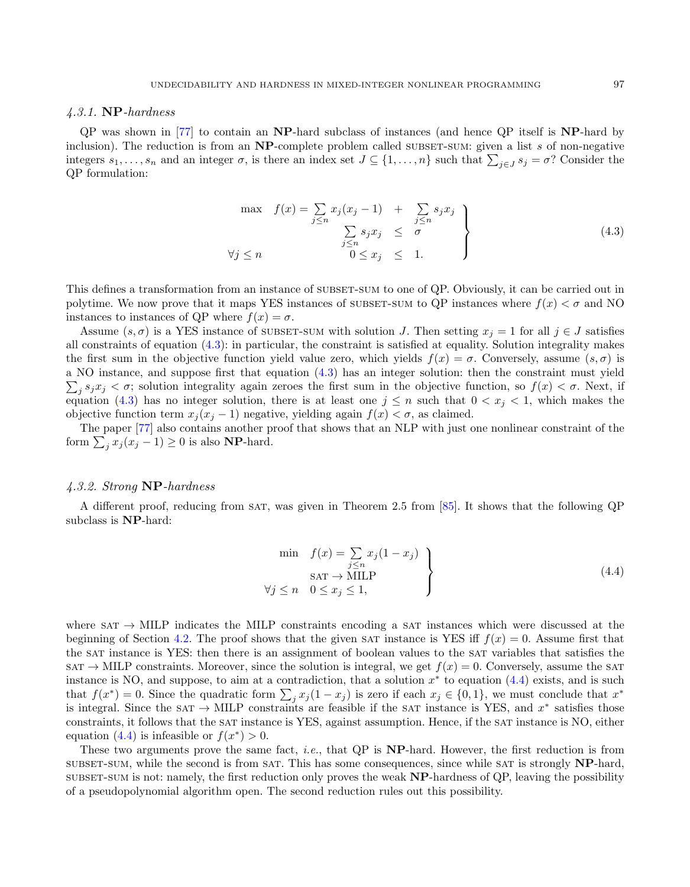### 4.3.1. NP-hardness

QP was shown in [\[77\]](#page-28-13) to contain an NP-hard subclass of instances (and hence QP itself is NP-hard by inclusion). The reduction is from an  $NP$ -complete problem called SUBSET-SUM: given a list s of non-negative integers  $s_1, \ldots, s_n$  and an integer  $\sigma$ , is there an index set  $J \subseteq \{1, \ldots, n\}$  such that  $\sum_{j \in J} s_j = \sigma$ ? Consider the QP formulation:

<span id="page-16-0"></span>
$$
\max f(x) = \sum_{j \le n} x_j (x_j - 1) + \sum_{j \le n} s_j x_j
$$
\n
$$
\sum_{j \le n} s_j x_j \le \sigma
$$
\n
$$
\forall j \le n \qquad 0 \le x_j \le 1.
$$
\n(4.3)

This defines a transformation from an instance of SUBSET-SUM to one of QP. Obviously, it can be carried out in polytime. We now prove that it maps YES instances of subset-sum to QP instances where  $f(x) < \sigma$  and NO instances to instances of QP where  $f(x) = \sigma$ .

Assume  $(s, \sigma)$  is a YES instance of SUBSET-SUM with solution J. Then setting  $x_i = 1$  for all  $j \in J$  satisfies all constraints of equation [\(4.3\)](#page-16-0): in particular, the constraint is satisfied at equality. Solution integrality makes the first sum in the objective function yield value zero, which yields  $f(x) = \sigma$ . Conversely, assume  $(s, \sigma)$  is a NO instance, and suppose first that equation ( [4.3\)](#page-16-0) has an integer solution: then the constraint must yield  $\sum_j s_j x_j < \sigma$ ; solution integrality again zeroes the first sum in the objective function, so  $f(x) < \sigma$ . Next, if equation [\(4.3\)](#page-16-0) has no integer solution, there is at least one  $j \leq n$  such that  $0 < x_j < 1$ , which makes the objective function term  $x_j(x_j - 1)$  negative, yielding again  $f(x) < \sigma$ , as claimed.

The paper [\[77\]](#page-28-13) also contains another proof that shows that an NLP with just one nonlinear constraint of the form  $\sum_j x_j (x_j - 1) \geq 0$  is also **NP**-hard.

### 4.3.2. Strong NP-hardness

A different proof, reducing from SAT, was given in Theorem 2.5 from [\[85\]](#page-28-7). It shows that the following QP subclass is NP-hard:

<span id="page-16-1"></span>
$$
\begin{aligned}\n\min \quad & f(x) = \sum_{j \le n} x_j (1 - x_j) \\
& \text{SAT} \to \text{MILP} \\
\forall j \le n \quad 0 \le x_j \le 1,\n\end{aligned}\n\tag{4.4}
$$

where  $SAT \rightarrow MILP$  indicates the MILP constraints encoding a sAT instances which were discussed at the beginning of Section [4.2.](#page-15-0) The proof shows that the given sat instance is YES iff  $f(x) = 0$ . Assume first that the sat instance is YES: then there is an assignment of boolean values to the sat variables that satisfies the  $SAT \rightarrow MILP$  constraints. Moreover, since the solution is integral, we get  $f(x) = 0$ . Conversely, assume the SAT instance is NO, and suppose, to aim at a contradiction, that a solution  $x^*$  to equation  $(4.4)$  exists, and is such that  $f(x^*) = 0$ . Since the quadratic form  $\sum_j x_j (1 - x_j)$  is zero if each  $x_j \in \{0, 1\}$ , we must conclude that  $x^*$ is integral. Since the sat  $\rightarrow$  MILP constraints are feasible if the sat instance is YES, and x<sup>\*</sup> satisfies those constraints, it follows that the sat instance is YES, against assumption. Hence, if the sat instance is NO, either equation [\(4.4\)](#page-16-1) is infeasible or  $f(x^*) > 0$ .

These two arguments prove the same fact, *i.e.*, that QP is  $NP$ -hard. However, the first reduction is from subset-sum, while the second is from sat. This has some consequences, since while sat is strongly NP-hard, subset-sum is not: namely, the first reduction only proves the weak  $NP$ -hardness of QP, leaving the possibility of a pseudopolynomial algorithm open. The second reduction rules out this possibility.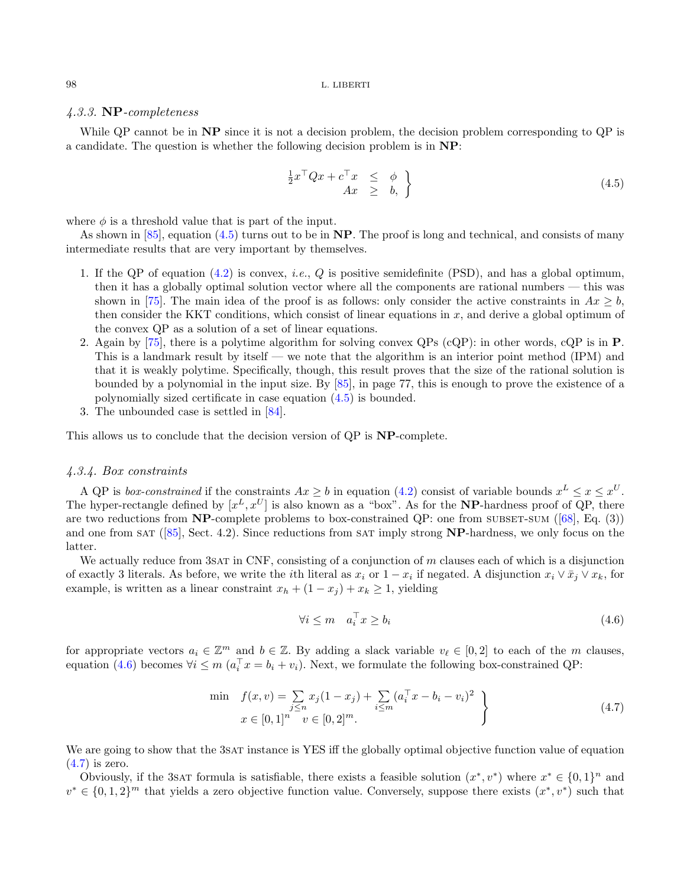### 4.3.3. NP-completeness

While QP cannot be in NP since it is not a decision problem, the decision problem corresponding to QP is a candidate. The question is whether the following decision problem is in NP:

<span id="page-17-0"></span>
$$
\frac{1}{2}x^{\top}Qx + c^{\top}x \leq \phi \} Ax \geq b,
$$
\n(4.5)

where  $\phi$  is a threshold value that is part of the input.

As shown in [\[85\]](#page-28-7), equation [\(4.5\)](#page-17-0) turns out to be in NP. The proof is long and technical, and consists of many intermediate results that are very important by themselves.

- 1. If the QP of equation  $(4.2)$  is convex, *i.e.*, Q is positive semidefinite (PSD), and has a global optimum, then it has a globally optimal solution vector where all the components are rational numbers — this was shown in [\[75\]](#page-28-14). The main idea of the proof is as follows: only consider the active constraints in  $Ax \geq b$ , then consider the KKT conditions, which consist of linear equations in  $x$ , and derive a global optimum of the convex QP as a solution of a set of linear equations.
- 2. Again by [\[75\]](#page-28-14), there is a polytime algorithm for solving convex QPs (cQP): in other words, cQP is in P. This is a landmark result by itself — we note that the algorithm is an interior point method (IPM) and that it is weakly polytime. Specifically, though, this result proves that the size of the rational solution is bounded by a polynomial in the input size. By [\[85\]](#page-28-7), in page 77, this is enough to prove the existence of a polynomially sized certificate in case equation [\(4.5\)](#page-17-0) is bounded.
- 3. The unbounded case is settled in [\[84\]](#page-28-15).

This allows us to conclude that the decision version of QP is NP-complete.

### 4.3.4. Box constraints

A QP is *box-constrained* if the constraints  $Ax \geq b$  in equation [\(4.2\)](#page-15-2) consist of variable bounds  $x^L \leq x \leq x^U$ . The hyper-rectangle defined by  $[x^L, x^U]$  is also known as a "box". As for the **NP**-hardness proof of QP, there are two reductions from NP-complete problems to box-constrained QP: one from SUBSET-SUM ( $[68]$ , Eq. (3)) and one from sat ([\[85\]](#page-28-7), Sect. 4.2). Since reductions from sat imply strong NP-hardness, we only focus on the latter.

We actually reduce from  $3SAT$  in CNF, consisting of a conjunction of m clauses each of which is a disjunction of exactly 3 literals. As before, we write the *i*th literal as  $x_i$  or  $1 - x_i$  if negated. A disjunction  $x_i \vee \overline{x}_j \vee x_k$ , for example, is written as a linear constraint  $x_h + (1 - x_j) + x_k \ge 1$ , yielding

<span id="page-17-1"></span>
$$
\forall i \le m \quad a_i^\top x \ge b_i \tag{4.6}
$$

for appropriate vectors  $a_i \in \mathbb{Z}^m$  and  $b \in \mathbb{Z}$ . By adding a slack variable  $v_\ell \in [0, 2]$  to each of the m clauses, equation [\(4.6\)](#page-17-1) becomes  $\forall i \leq m \ (a_i^\top x = b_i + v_i)$ . Next, we formulate the following box-constrained QP:

<span id="page-17-2"></span>
$$
\min f(x, v) = \sum_{j \le n} x_j (1 - x_j) + \sum_{i \le m} (a_i^{\top} x - b_i - v_i)^2
$$
  

$$
x \in [0, 1]^n \quad v \in [0, 2]^m.
$$
 (4.7)

We are going to show that the 3sAT instance is YES iff the globally optimal objective function value of equation  $(4.7)$  is zero.

Obviously, if the 3sAT formula is satisfiable, there exists a feasible solution  $(x^*, v^*)$  where  $x^* \in \{0, 1\}^n$  and  $v^* \in \{0, 1, 2\}^m$  that yields a zero objective function value. Conversely, suppose there exists  $(x^*, v^*)$  such that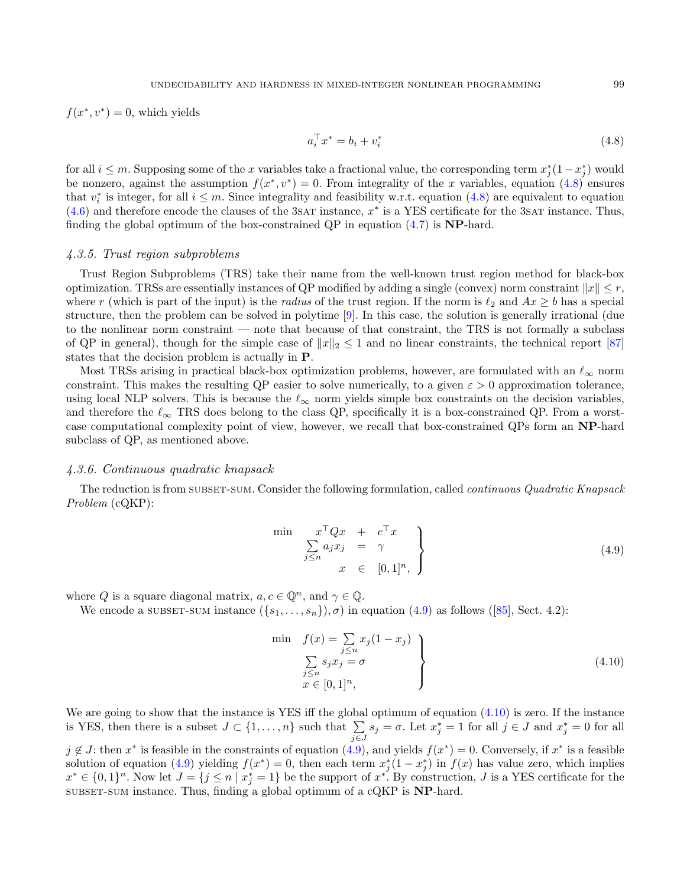$f(x^*, v^*) = 0$ , which yields

<span id="page-18-0"></span>
$$
a_i^{\top} x^* = b_i + v_i^* \tag{4.8}
$$

for all  $i \leq m$ . Supposing some of the x variables take a fractional value, the corresponding term  $x_j^*(1-x_j^*)$  would be nonzero, against the assumption  $f(x^*, v^*) = 0$ . From integrality of the x variables, equation [\(4.8\)](#page-18-0) ensures that  $v_i^*$  is integer, for all  $i \leq m$ . Since integrality and feasibility w.r.t. equation [\(4.8\)](#page-18-0) are equivalent to equation  $(4.6)$  and therefore encode the clauses of the 3SAT instance,  $x^*$  is a YES certificate for the 3SAT instance. Thus, finding the global optimum of the box-constrained QP in equation  $(4.7)$  is NP-hard.

### 4.3.5. Trust region subproblems

Trust Region Subproblems (TRS) take their name from the well-known trust region method for black-box optimization. TRSs are essentially instances of QP modified by adding a single (convex) norm constraint  $||x|| \leq r$ , where r (which is part of the input) is the radius of the trust region. If the norm is  $\ell_2$  and  $Ax \geq b$  has a special structure, then the problem can be solved in polytime [\[9\]](#page-26-21). In this case, the solution is generally irrational (due to the nonlinear norm constraint — note that because of that constraint, the TRS is not formally a subclass of QP in general), though for the simple case of  $||x||_2 \leq 1$  and no linear constraints, the technical report [\[87\]](#page-28-17) states that the decision problem is actually in P.

Most TRSs arising in practical black-box optimization problems, however, are formulated with an  $\ell_{\infty}$  norm constraint. This makes the resulting QP easier to solve numerically, to a given  $\varepsilon > 0$  approximation tolerance. using local NLP solvers. This is because the  $\ell_{\infty}$  norm yields simple box constraints on the decision variables, and therefore the  $\ell_{\infty}$  TRS does belong to the class QP, specifically it is a box-constrained QP. From a worstcase computational complexity point of view, however, we recall that box-constrained QPs form an NP-hard subclass of QP, as mentioned above.

#### 4.3.6. Continuous quadratic knapsack

The reduction is from SUBSET-SUM. Consider the following formulation, called *continuous Quadratic Knapsack* Problem (cQKP):

<span id="page-18-1"></span>
$$
\begin{array}{rcl}\n\min & x^\top Q x & + & c^\top x \\
\sum_{j \le n} a_j x_j & = & \gamma \\
x & \in & [0, 1]^n,\n\end{array}\n\right\}\n\tag{4.9}
$$

where Q is a square diagonal matrix,  $a, c \in \mathbb{Q}^n$ , and  $\gamma \in \mathbb{Q}$ .

We encode a subset-sum instance  $({s_1, \ldots, s_n})$ ,  $\sigma$  in equation [\(4.9\)](#page-18-1) as follows ([\[85\]](#page-28-7), Sect. 4.2):

<span id="page-18-2"></span>
$$
\begin{aligned}\n\min \quad f(x) &= \sum_{j \le n} x_j (1 - x_j) \\
\sum_{j \le n} s_j x_j &= \sigma \\
x \in [0, 1]^n,\n\end{aligned}\n\tag{4.10}
$$

We are going to show that the instance is YES iff the global optimum of equation  $(4.10)$  is zero. If the instance is YES, then there is a subset  $J \subset \{1, \ldots, n\}$  such that  $\sum$  $\sum_{j\in J} s_j = \sigma$ . Let  $x_j^* = 1$  for all  $j \in J$  and  $x_j^* = 0$  for all  $j \notin J$ : then  $x^*$  is feasible in the constraints of equation [\(4.9\)](#page-18-1), and yields  $f(x^*) = 0$ . Conversely, if  $x^*$  is a feasible

solution of equation [\(4.9\)](#page-18-1) yielding  $f(x^*) = 0$ , then each term  $x_j^*(1 - x_j^*)$  in  $f(x)$  has value zero, which implies  $x^* \in \{0,1\}^n$ . Now let  $J = \{j \leq n \mid x^*_j = 1\}$  be the support of  $x^*$ . By construction, J is a YES certificate for the  $\text{SUBSET-SUM instance. Thus, finding a global optimum of a cQKP is NP-hard.}$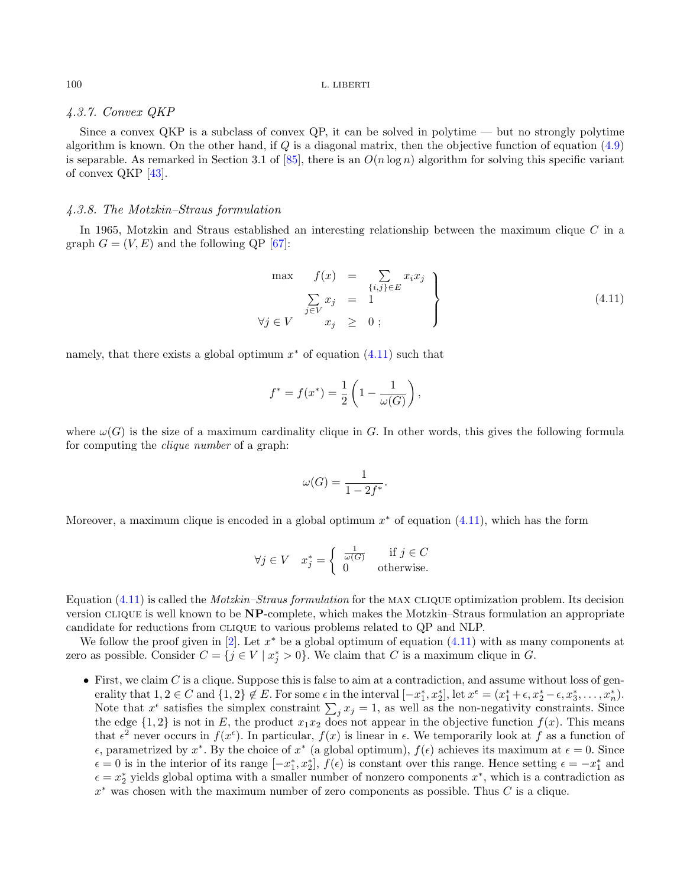### 4.3.7. Convex QKP

Since a convex QKP is a subclass of convex QP, it can be solved in polytime — but no strongly polytime algorithm is known. On the other hand, if  $Q$  is a diagonal matrix, then the objective function of equation  $(4.9)$ is separable. As remarked in Section 3.1 of [\[85\]](#page-28-7), there is an  $O(n \log n)$  algorithm for solving this specific variant of convex QKP [\[43\]](#page-27-31).

### 4.3.8. The Motzkin–Straus formulation

In 1965, Motzkin and Straus established an interesting relationship between the maximum clique C in a graph  $G = (V, E)$  and the following QP [\[67\]](#page-28-18):

<span id="page-19-0"></span>
$$
\begin{aligned}\n\max \quad f(x) &= \sum_{\{i,j\} \in E} x_i x_j \\
\sum_{j \in V} x_j &= 1 \\
\forall j \in V \quad x_j &\geq 0 \; ;\n\end{aligned}\n\tag{4.11}
$$

namely, that there exists a global optimum  $x^*$  of equation  $(4.11)$  such that

$$
f^* = f(x^*) = \frac{1}{2} \left( 1 - \frac{1}{\omega(G)} \right),
$$

where  $\omega(G)$  is the size of a maximum cardinality clique in G. In other words, this gives the following formula for computing the clique number of a graph:

$$
\omega(G) = \frac{1}{1 - 2f^*}.
$$

Moreover, a maximum clique is encoded in a global optimum  $x^*$  of equation  $(4.11)$ , which has the form

$$
\forall j \in V \quad x_j^* = \begin{cases} \frac{1}{\omega(G)} & \text{if } j \in C \\ 0 & \text{otherwise.} \end{cases}
$$

Equation  $(4.11)$  is called the *Motzkin–Straus formulation* for the MAX CLIQUE optimization problem. Its decision version clique is well known to be NP-complete, which makes the Motzkin–Straus formulation an appropriate candidate for reductions from clique to various problems related to QP and NLP.

We follow the proof given in [\[2\]](#page-26-22). Let  $x^*$  be a global optimum of equation  $(4.11)$  with as many components at zero as possible. Consider  $C = \{j \in V \mid x_j^* > 0\}$ . We claim that C is a maximum clique in G.

 $\bullet$  First, we claim C is a clique. Suppose this is false to aim at a contradiction, and assume without loss of generality that  $1, 2 \in C$  and  $\{1, 2\} \notin E$ . For some  $\epsilon$  in the interval  $[-x_1^*, x_2^*]$ , let  $x^{\epsilon} = (x_1^* + \epsilon, x_2^* - \epsilon, x_3^*, \dots, x_n^*)$ . Note that  $x^{\epsilon}$  satisfies the simplex constraint  $\sum_j x_j = 1$ , as well as the non-negativity constraints. Since the edge  $\{1,2\}$  is not in E, the product  $x_1x_2$  does not appear in the objective function  $f(x)$ . This means that  $\epsilon^2$  never occurs in  $f(x^{\epsilon})$ . In particular,  $f(x)$  is linear in  $\epsilon$ . We temporarily look at f as a function of  $\epsilon$ , parametrized by x<sup>\*</sup>. By the choice of x<sup>\*</sup> (a global optimum),  $f(\epsilon)$  achieves its maximum at  $\epsilon = 0$ . Since  $\epsilon = 0$  is in the interior of its range  $[-x_1^*, x_2^*], f(\epsilon)$  is constant over this range. Hence setting  $\epsilon = -x_1^*$  and  $\epsilon = x_2^*$  yields global optima with a smaller number of nonzero components  $x^*$ , which is a contradiction as  $x^*$  was chosen with the maximum number of zero components as possible. Thus  $C$  is a clique.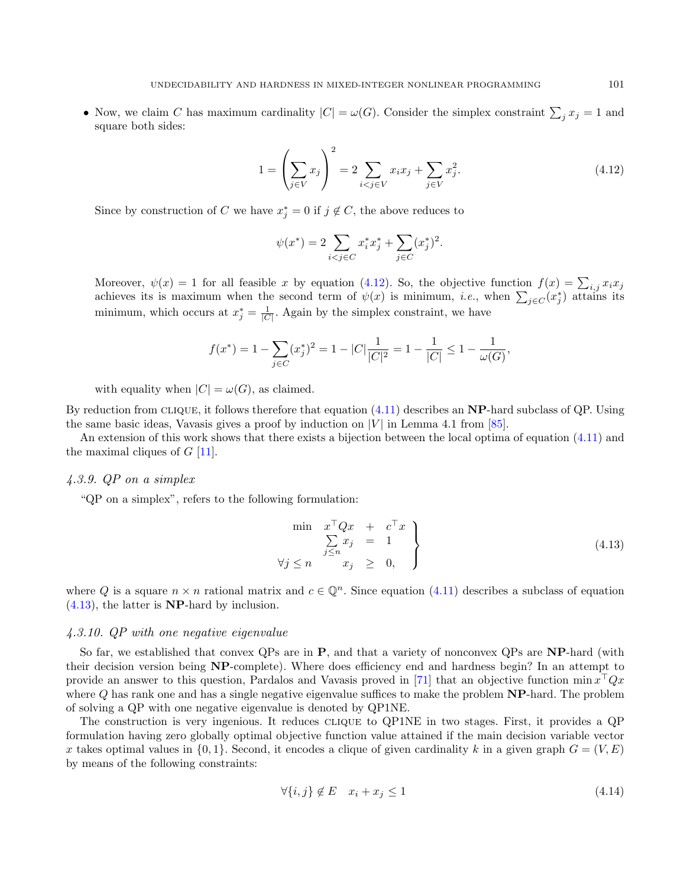• Now, we claim C has maximum cardinality  $|C| = \omega(G)$ . Consider the simplex constraint  $\sum_j x_j = 1$  and square both sides:

<span id="page-20-0"></span>
$$
1 = \left(\sum_{j \in V} x_j\right)^2 = 2 \sum_{i < j \in V} x_i x_j + \sum_{j \in V} x_j^2. \tag{4.12}
$$

Since by construction of C we have  $x_j^* = 0$  if  $j \notin C$ , the above reduces to

$$
\psi(x^*) = 2 \sum_{i < j \in C} x_i^* x_j^* + \sum_{j \in C} (x_j^*)^2.
$$

Moreover,  $\psi(x) = 1$  for all feasible x by equation [\(4.12\)](#page-20-0). So, the objective function  $f(x) = \sum_{i,j} x_i x_j$ achieves its is maximum when the second term of  $\psi(x)$  is minimum, *i.e.*, when  $\sum_{j\in C}(x_j^*)$  attains its minimum, which occurs at  $x_j^* = \frac{1}{|C|}$ . Again by the simplex constraint, we have

$$
f(x^*) = 1 - \sum_{j \in C} (x_j^*)^2 = 1 - |C| \frac{1}{|C|^2} = 1 - \frac{1}{|C|} \le 1 - \frac{1}{\omega(G)},
$$

with equality when  $|C| = \omega(G)$ , as claimed.

By reduction from clique, it follows therefore that equation [\(4.11\)](#page-19-0) describes an NP-hard subclass of QP. Using the same basic ideas, Vavasis gives a proof by induction on  $|V|$  in Lemma 4.1 from [\[85\]](#page-28-7).

An extension of this work shows that there exists a bijection between the local optima of equation [\(4.11\)](#page-19-0) and the maximal cliques of  $G$  [\[11\]](#page-26-23).

### 4.3.9. QP on a simplex

"QP on a simplex", refers to the following formulation:

<span id="page-20-1"></span>
$$
\begin{array}{ccc}\n\min & x^{\top} Q x & + & c^{\top} x \\
\sum_{j \leq n} x_j & = & 1 \\
\forall j \leq n & x_j \geq 0,\n\end{array}
$$
\n(4.13)

where Q is a square  $n \times n$  rational matrix and  $c \in \mathbb{Q}^n$ . Since equation [\(4.11\)](#page-19-0) describes a subclass of equation [\(4.13\)](#page-20-1), the latter is NP-hard by inclusion.

### 4.3.10. QP with one negative eigenvalue

So far, we established that convex QPs are in **P**, and that a variety of nonconvex QPs are **NP**-hard (with their decision version being NP-complete). Where does efficiency end and hardness begin? In an attempt to provide an answer to this question, Pardalos and Vavasis proved in [\[71\]](#page-28-19) that an objective function min  $x^{\top}Qx$ where  $Q$  has rank one and has a single negative eigenvalue suffices to make the problem  $NP$ -hard. The problem of solving a QP with one negative eigenvalue is denoted by QP1NE.

The construction is very ingenious. It reduces clique to QP1NE in two stages. First, it provides a QP formulation having zero globally optimal objective function value attained if the main decision variable vector x takes optimal values in  $\{0, 1\}$ . Second, it encodes a clique of given cardinality k in a given graph  $G = (V, E)$ by means of the following constraints:

<span id="page-20-2"></span>
$$
\forall \{i, j\} \notin E \quad x_i + x_j \le 1 \tag{4.14}
$$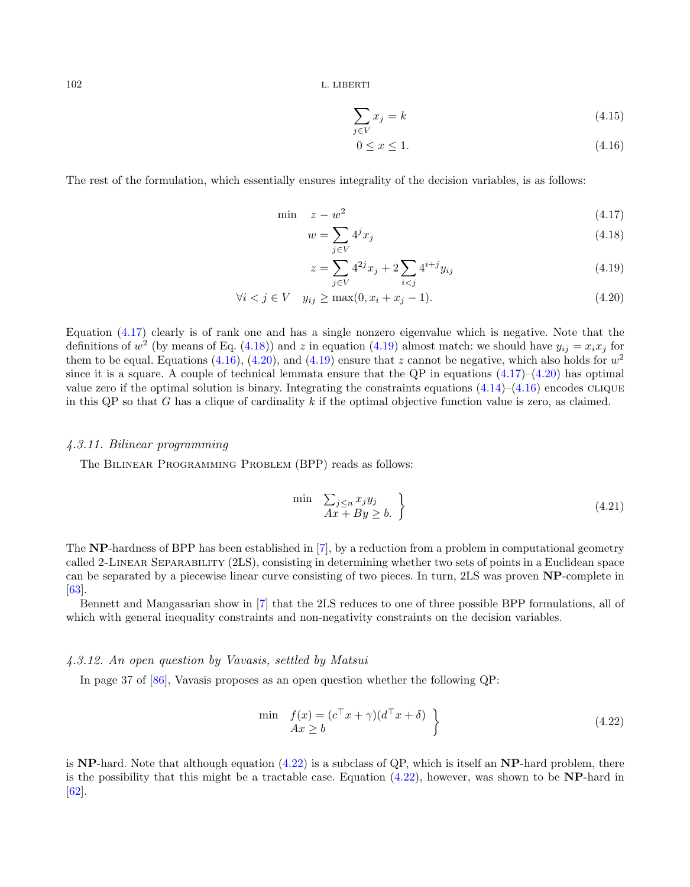$$
\sum_{j \in V} x_j = k \tag{4.15}
$$

$$
0 \le x \le 1. \tag{4.16}
$$

The rest of the formulation, which essentially ensures integrality of the decision variables, is as follows:

<span id="page-21-0"></span>
$$
\min \quad z - w^2 \tag{4.17}
$$

$$
w = \sum_{j \in V} 4^j x_j \tag{4.18}
$$

$$
z = \sum_{j \in V} 4^{2j} x_j + 2 \sum_{i < j} 4^{i+j} y_{ij} \tag{4.19}
$$

$$
\forall i < j \in V \quad y_{ij} \ge \max(0, x_i + x_j - 1). \tag{4.20}
$$

Equation  $(4.17)$  clearly is of rank one and has a single nonzero eigenvalue which is negative. Note that the definitions of  $w^2$  (by means of Eq. [\(4.18\)](#page-21-0)) and z in equation [\(4.19\)](#page-21-0) almost match: we should have  $y_{ij} = x_i x_j$  for them to be equal. Equations [\(4.16\)](#page-20-2), [\(4.20\)](#page-21-0), and [\(4.19\)](#page-21-0) ensure that z cannot be negative, which also holds for  $w^2$ since it is a square. A couple of technical lemmata ensure that the QP in equations  $(4.17)$ – $(4.20)$  has optimal value zero if the optimal solution is binary. Integrating the constraints equations  $(4.14)$ – $(4.16)$  encodes cluque in this QP so that G has a clique of cardinality k if the optimal objective function value is zero, as claimed.

### 4.3.11. Bilinear programming

The BILINEAR PROGRAMMING PROBLEM (BPP) reads as follows:

$$
\min \sum_{\substack{j \le n \\ Ax + By \ge b.}} \sum_{j \le n} x_j y_j \tag{4.21}
$$

The NP-hardness of BPP has been established in [\[7\]](#page-26-24), by a reduction from a problem in computational geometry called 2-Linear Separability (2LS), consisting in determining whether two sets of points in a Euclidean space can be separated by a piecewise linear curve consisting of two pieces. In turn, 2LS was proven NP-complete in [\[63\]](#page-27-32).

Bennett and Mangasarian show in [\[7\]](#page-26-24) that the 2LS reduces to one of three possible BPP formulations, all of which with general inequality constraints and non-negativity constraints on the decision variables.

### 4.3.12. An open question by Vavasis, settled by Matsui

In page 37 of [\[86\]](#page-28-20), Vavasis proposes as an open question whether the following QP:

<span id="page-21-1"></span>
$$
\begin{aligned}\n\min \quad & f(x) = (c^\top x + \gamma)(d^\top x + \delta) \\
& Ax \ge b\n\end{aligned}\n\tag{4.22}
$$

is  $NP$ -hard. Note that although equation  $(4.22)$  is a subclass of QP, which is itself an  $NP$ -hard problem, there is the possibility that this might be a tractable case. Equation  $(4.22)$ , however, was shown to be NP-hard in [\[62\]](#page-27-33).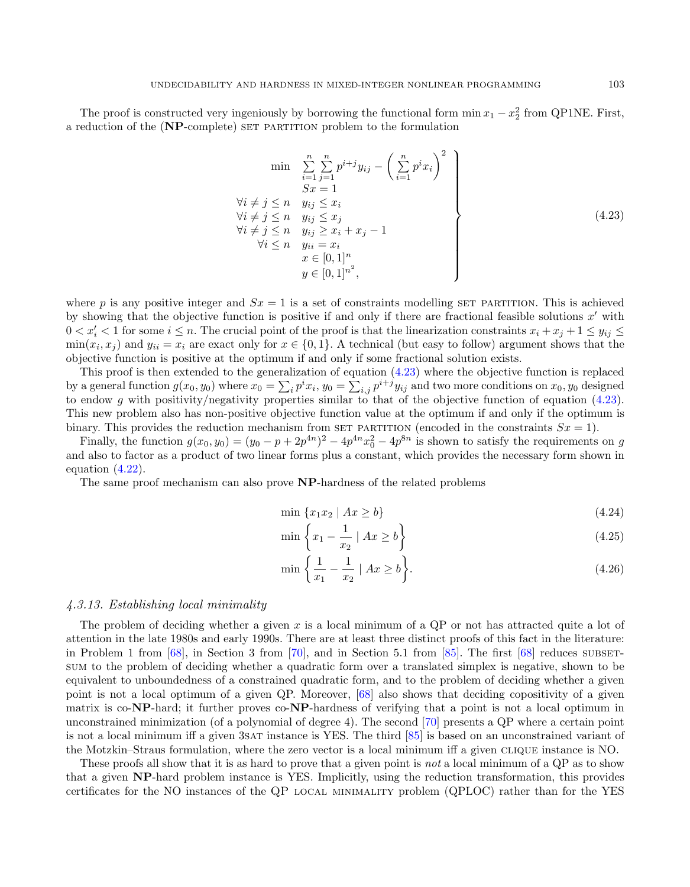The proof is constructed very ingeniously by borrowing the functional form  $\min x_1 - x_2^2$  from QP1NE. First, a reduction of the (NP-complete) SET PARTITION problem to the formulation

<span id="page-22-0"></span>
$$
\begin{array}{c}\n\min \quad & \sum_{i=1}^{n} \sum_{j=1}^{n} p^{i+j} y_{ij} - \left(\sum_{i=1}^{n} p^{i} x_{i}\right)^{2} \\
\text{Sx} = 1 \\
\forall i \neq j \leq n \quad y_{ij} \leq x_{i} \\
\forall i \neq j \leq n \quad y_{ij} \leq x_{j} \\
\forall i \neq j \leq n \quad y_{ij} \geq x_{i} + x_{j} - 1 \\
\forall i \leq n \quad y_{ii} = x_{i} \\
x \in [0, 1]^{n} \\
y \in [0, 1]^{n^{2}},\n\end{array} \tag{4.23}
$$

where p is any positive integer and  $Sx = 1$  is a set of constraints modelling SET PARTITION. This is achieved by showing that the objective function is positive if and only if there are fractional feasible solutions  $x'$  with  $0 < x'_i < 1$  for some  $i \leq n$ . The crucial point of the proof is that the linearization constraints  $x_i + x_j + 1 \leq y_{ij} \leq$  $\min(x_i, x_j)$  and  $y_{ii} = x_i$  are exact only for  $x \in \{0, 1\}$ . A technical (but easy to follow) argument shows that the objective function is positive at the optimum if and only if some fractional solution exists.

This proof is then extended to the generalization of equation [\(4.23\)](#page-22-0) where the objective function is replaced by a general function  $g(x_0, y_0)$  where  $x_0 = \sum_i p^i x_i$ ,  $y_0 = \sum_{i,j} p^{i+j} y_{ij}$  and two more conditions on  $x_0, y_0$  designed to endow g with positivity/negativity properties similar to that of the objective function of equation  $(4.23)$ . This new problem also has non-positive objective function value at the optimum if and only if the optimum is binary. This provides the reduction mechanism from SET PARTITION (encoded in the constraints  $Sx = 1$ ).

Finally, the function  $g(x_0, y_0) = (y_0 - p + 2p^{4n})^2 - 4p^{4n}x_0^2 - 4p^{8n}$  is shown to satisfy the requirements on g and also to factor as a product of two linear forms plus a constant, which provides the necessary form shown in equation [\(4.22\)](#page-21-1).

The same proof mechanism can also prove NP-hardness of the related problems

$$
\min \left\{ x_1 x_2 \mid Ax \ge b \right\} \tag{4.24}
$$

$$
\min\left\{x_1 - \frac{1}{x_2} \mid Ax \ge b\right\} \tag{4.25}
$$

$$
\min \left\{ \frac{1}{x_1} - \frac{1}{x_2} \mid Ax \ge b \right\}.
$$
\n(4.26)

#### 4.3.13. Establishing local minimality

The problem of deciding whether a given x is a local minimum of a QP or not has attracted quite a lot of attention in the late 1980s and early 1990s. There are at least three distinct proofs of this fact in the literature: in Problem 1 from  $[68]$ , in Section 3 from  $[70]$ , and in Section 5.1 from  $[85]$ . The first  $[68]$  reduces subsetsum to the problem of deciding whether a quadratic form over a translated simplex is negative, shown to be equivalent to unboundedness of a constrained quadratic form, and to the problem of deciding whether a given point is not a local optimum of a given QP. Moreover, [\[68\]](#page-28-16) also shows that deciding copositivity of a given matrix is co-NP-hard; it further proves co-NP-hardness of verifying that a point is not a local optimum in unconstrained minimization (of a polynomial of degree 4). The second [\[70\]](#page-28-21) presents a QP where a certain point is not a local minimum iff a given 3SAT instance is YES. The third  $[85]$  is based on an unconstrained variant of the Motzkin–Straus formulation, where the zero vector is a local minimum iff a given clique instance is NO.

These proofs all show that it is as hard to prove that a given point is not a local minimum of a QP as to show that a given NP-hard problem instance is YES. Implicitly, using the reduction transformation, this provides certificates for the NO instances of the QP local minimality problem (QPLOC) rather than for the YES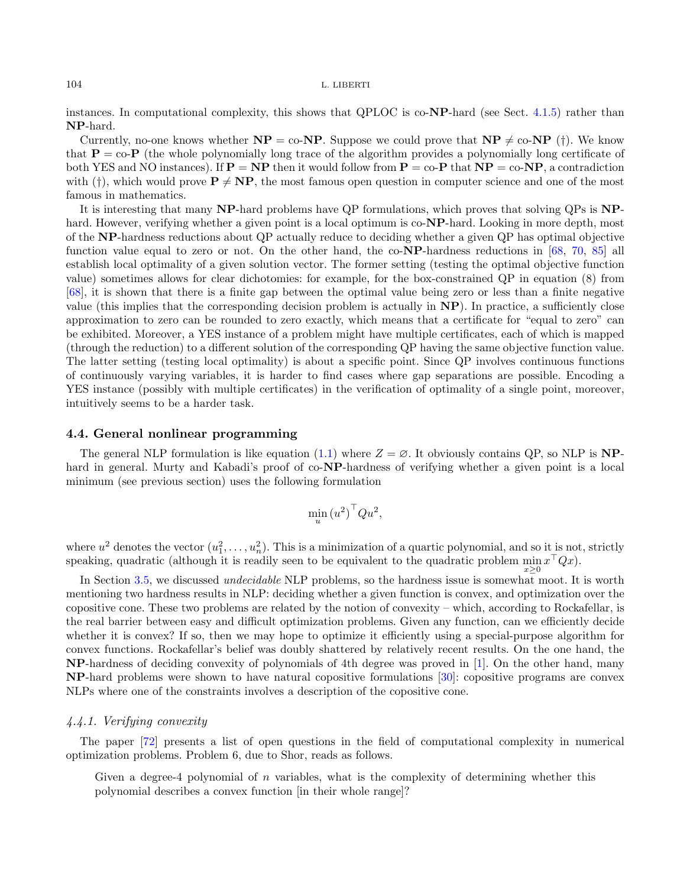instances. In computational complexity, this shows that QPLOC is co-NP-hard (see Sect. [4.1.5\)](#page-13-0) rather than NP-hard.

Currently, no-one knows whether  $NP = co-NP$ . Suppose we could prove that  $NP \neq co-NP$  (†). We know that  $P = co-P$  (the whole polynomially long trace of the algorithm provides a polynomially long certificate of both YES and NO instances). If  $P = NP$  then it would follow from  $P = co-P$  that  $NP = co-NP$ , a contradiction with (†), which would prove  $P \neq NP$ , the most famous open question in computer science and one of the most famous in mathematics.

It is interesting that many NP-hard problems have QP formulations, which proves that solving QPs is NPhard. However, verifying whether a given point is a local optimum is co-NP-hard. Looking in more depth, most of the NP-hardness reductions about QP actually reduce to deciding whether a given QP has optimal objective function value equal to zero or not. On the other hand, the co-NP-hardness reductions in [\[68,](#page-28-16) [70,](#page-28-21) [85\]](#page-28-7) all establish local optimality of a given solution vector. The former setting (testing the optimal objective function value) sometimes allows for clear dichotomies: for example, for the box-constrained QP in equation (8) from [\[68\]](#page-28-16), it is shown that there is a finite gap between the optimal value being zero or less than a finite negative value (this implies that the corresponding decision problem is actually in  $\bf NP$ ). In practice, a sufficiently close approximation to zero can be rounded to zero exactly, which means that a certificate for "equal to zero" can be exhibited. Moreover, a YES instance of a problem might have multiple certificates, each of which is mapped (through the reduction) to a different solution of the corresponding QP having the same objective function value. The latter setting (testing local optimality) is about a specific point. Since QP involves continuous functions of continuously varying variables, it is harder to find cases where gap separations are possible. Encoding a YES instance (possibly with multiple certificates) in the verification of optimality of a single point, moreover, intuitively seems to be a harder task.

### <span id="page-23-0"></span>4.4. General nonlinear programming

The general NLP formulation is like equation [\(1.1\)](#page-2-0) where  $Z = \emptyset$ . It obviously contains QP, so NLP is NPhard in general. Murty and Kabadi's proof of co-NP-hardness of verifying whether a given point is a local minimum (see previous section) uses the following formulation

$$
\min_{u} (u^2)^\top Q u^2,
$$

where  $u^2$  denotes the vector  $(u_1^2, \ldots, u_n^2)$ . This is a minimization of a quartic polynomial, and so it is not, strictly speaking, quadratic (although it is readily seen to be equivalent to the quadratic problem min  $x^{\top}Qx$ ). x≥0

In Section [3.5,](#page-9-0) we discussed undecidable NLP problems, so the hardness issue is somewhat moot. It is worth mentioning two hardness results in NLP: deciding whether a given function is convex, and optimization over the copositive cone. These two problems are related by the notion of convexity – which, according to Rockafellar, is the real barrier between easy and difficult optimization problems. Given any function, can we efficiently decide whether it is convex? If so, then we may hope to optimize it efficiently using a special-purpose algorithm for convex functions. Rockafellar's belief was doubly shattered by relatively recent results. On the one hand, the NP-hardness of deciding convexity of polynomials of 4th degree was proved in [\[1\]](#page-26-25). On the other hand, many NP-hard problems were shown to have natural copositive formulations [\[30\]](#page-27-13): copositive programs are convex NLPs where one of the constraints involves a description of the copositive cone.

### 4.4.1. Verifying convexity

The paper [\[72\]](#page-28-22) presents a list of open questions in the field of computational complexity in numerical optimization problems. Problem 6, due to Shor, reads as follows.

Given a degree-4 polynomial of  $n$  variables, what is the complexity of determining whether this polynomial describes a convex function [in their whole range]?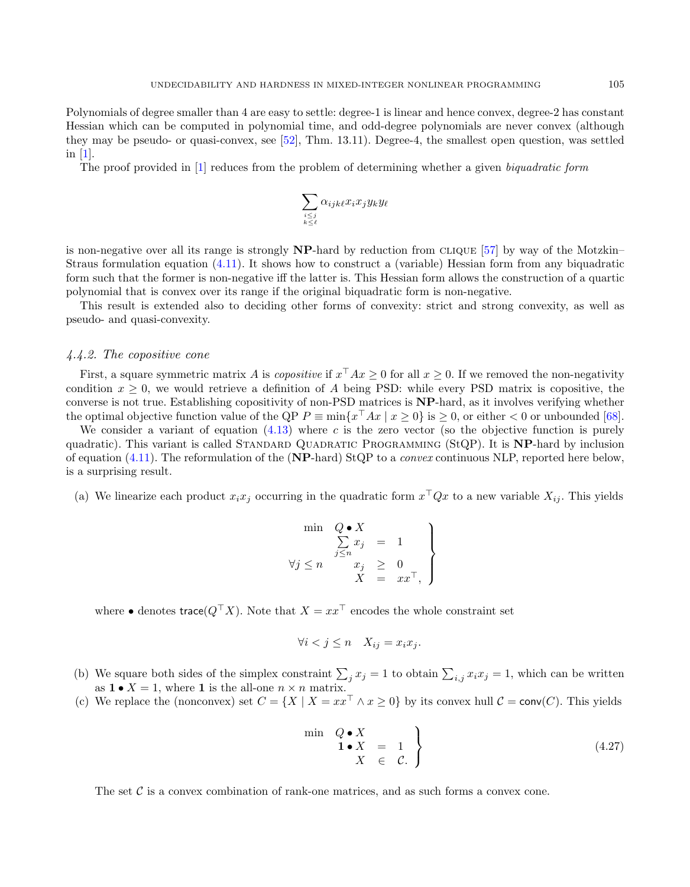Polynomials of degree smaller than 4 are easy to settle: degree-1 is linear and hence convex, degree-2 has constant Hessian which can be computed in polynomial time, and odd-degree polynomials are never convex (although they may be pseudo- or quasi-convex, see [\[52\]](#page-27-34), Thm. 13.11). Degree-4, the smallest open question, was settled in [\[1\]](#page-26-25).

The proof provided in [\[1\]](#page-26-25) reduces from the problem of determining whether a given *biquadratic form* 

$$
\sum_{\substack{i \leq j \\ k \leq \ell}} \alpha_{ijk\ell} x_i x_j y_k y_\ell
$$

is non-negative over all its range is strongly NP-hard by reduction from clique [\[57\]](#page-27-35) by way of the Motzkin– Straus formulation equation [\(4.11\)](#page-19-0). It shows how to construct a (variable) Hessian form from any biquadratic form such that the former is non-negative iff the latter is. This Hessian form allows the construction of a quartic polynomial that is convex over its range if the original biquadratic form is non-negative.

This result is extended also to deciding other forms of convexity: strict and strong convexity, as well as pseudo- and quasi-convexity.

### 4.4.2. The copositive cone

First, a square symmetric matrix A is *copositive* if  $x^{\top}Ax \geq 0$  for all  $x \geq 0$ . If we removed the non-negativity condition  $x > 0$ , we would retrieve a definition of A being PSD: while every PSD matrix is copositive, the converse is not true. Establishing copositivity of non-PSD matrices is NP-hard, as it involves verifying whether the optimal objective function value of the QP  $P \equiv \min\{x^{\top}Ax \mid x \ge 0\}$  is  $\ge 0$ , or either  $\lt 0$  or unbounded [\[68\]](#page-28-16).

We consider a variant of equation  $(4.13)$  where c is the zero vector (so the objective function is purely quadratic). This variant is called STANDARD QUADRATIC PROGRAMMING  $(StQP)$ . It is **NP**-hard by inclusion of equation [\(4.11\)](#page-19-0). The reformulation of the ( $NP$ -hard) StQP to a *convex* continuous NLP, reported here below, is a surprising result.

(a) We linearize each product  $x_ix_j$  occurring in the quadratic form  $x^\top Qx$  to a new variable  $X_{ij}$ . This yields

$$
\begin{array}{rcl}\n\min & Q \bullet X \\
\sum x_j & = & 1 \\
\forall j \leq n & x_j & \geq & 0 \\
X & = & x x^{\top},\n\end{array}
$$

where • denotes trace( $Q^{\top}X$ ). Note that  $X = xx^{\top}$  encodes the whole constraint set

$$
\forall i < j \le n \quad X_{ij} = x_i x_j.
$$

- (b) We square both sides of the simplex constraint  $\sum_j x_j = 1$  to obtain  $\sum_{i,j} x_i x_j = 1$ , which can be written as  $1 \bullet X = 1$ , where 1 is the all-one  $n \times n$  matrix.
- (c) We replace the (nonconvex) set  $C = \{X \mid X = xx^\top \land x \ge 0\}$  by its convex hull  $C = \text{conv}(C)$ . This yields

<span id="page-24-0"></span>
$$
\begin{array}{rcl}\n\min & Q \bullet X \\
\mathbf{1} \bullet X & = & 1 \\
X & \in & \mathcal{C}.\n\end{array}
$$
\n(4.27)

The set  $\mathcal C$  is a convex combination of rank-one matrices, and as such forms a convex cone.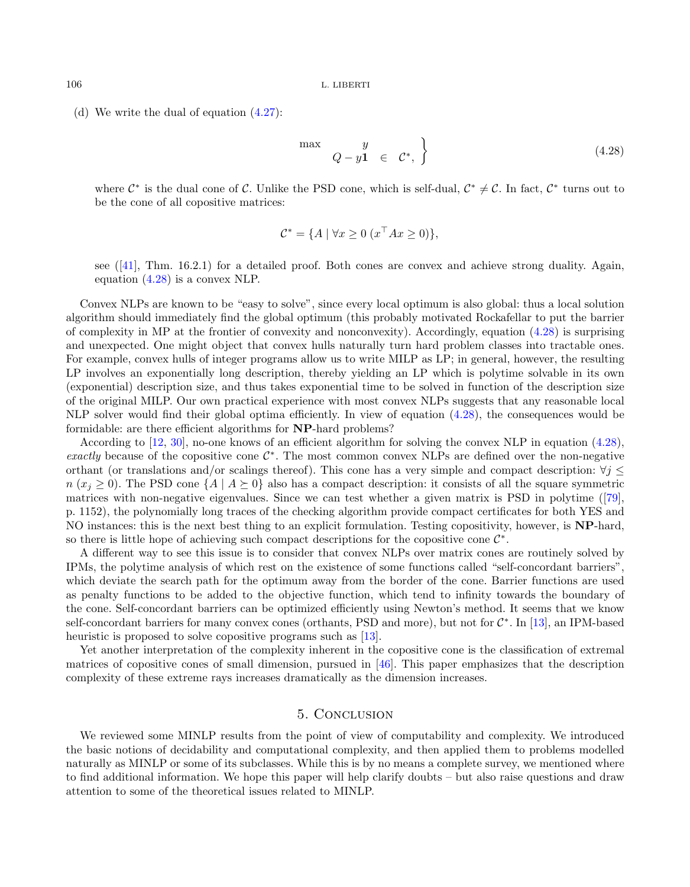(d) We write the dual of equation [\(4.27\)](#page-24-0):

<span id="page-25-1"></span>
$$
\begin{array}{rcl}\n\max & y \\
Q - y\mathbf{1} \in \mathcal{C}^*,\n\end{array}\n\bigg\} \tag{4.28}
$$

where  $\mathcal{C}^*$  is the dual cone of  $\mathcal{C}$ . Unlike the PSD cone, which is self-dual,  $\mathcal{C}^* \neq \mathcal{C}$ . In fact,  $\mathcal{C}^*$  turns out to be the cone of all copositive matrices:

$$
\mathcal{C}^* = \{ A \mid \forall x \ge 0 \ (x^\top A x \ge 0) \},
$$

see ([\[41\]](#page-27-36), Thm. 16.2.1) for a detailed proof. Both cones are convex and achieve strong duality. Again, equation [\(4.28\)](#page-25-1) is a convex NLP.

Convex NLPs are known to be "easy to solve", since every local optimum is also global: thus a local solution algorithm should immediately find the global optimum (this probably motivated Rockafellar to put the barrier of complexity in MP at the frontier of convexity and nonconvexity). Accordingly, equation  $(4.28)$  is surprising and unexpected. One might object that convex hulls naturally turn hard problem classes into tractable ones. For example, convex hulls of integer programs allow us to write MILP as LP; in general, however, the resulting LP involves an exponentially long description, thereby yielding an LP which is polytime solvable in its own (exponential) description size, and thus takes exponential time to be solved in function of the description size of the original MILP. Our own practical experience with most convex NLPs suggests that any reasonable local NLP solver would find their global optima efficiently. In view of equation [\(4.28\)](#page-25-1), the consequences would be formidable: are there efficient algorithms for NP-hard problems?

According to [\[12,](#page-26-8) [30\]](#page-27-13), no-one knows of an efficient algorithm for solving the convex NLP in equation [\(4.28\)](#page-25-1), exactly because of the copositive cone  $\mathcal{C}^*$ . The most common convex NLPs are defined over the non-negative orthant (or translations and/or scalings thereof). This cone has a very simple and compact description:  $\forall j \leq$  $n (x_i \geq 0)$ . The PSD cone  $\{A \mid A \succeq 0\}$  also has a compact description: it consists of all the square symmetric matrices with non-negative eigenvalues. Since we can test whether a given matrix is PSD in polytime ([\[79\]](#page-28-23), p. 1152), the polynomially long traces of the checking algorithm provide compact certificates for both YES and NO instances: this is the next best thing to an explicit formulation. Testing copositivity, however, is NP-hard, so there is little hope of achieving such compact descriptions for the copositive cone  $\mathcal{C}^*$ .

A different way to see this issue is to consider that convex NLPs over matrix cones are routinely solved by IPMs, the polytime analysis of which rest on the existence of some functions called "self-concordant barriers", which deviate the search path for the optimum away from the border of the cone. Barrier functions are used as penalty functions to be added to the objective function, which tend to infinity towards the boundary of the cone. Self-concordant barriers can be optimized efficiently using Newton's method. It seems that we know self-concordant barriers for many convex cones (orthants, PSD and more), but not for  $C^*$ . In [\[13\]](#page-26-26), an IPM-based heuristic is proposed to solve copositive programs such as [\[13\]](#page-26-26).

Yet another interpretation of the complexity inherent in the copositive cone is the classification of extremal matrices of copositive cones of small dimension, pursued in [\[46\]](#page-27-37). This paper emphasizes that the description complexity of these extreme rays increases dramatically as the dimension increases.

### 5. Conclusion

<span id="page-25-0"></span>We reviewed some MINLP results from the point of view of computability and complexity. We introduced the basic notions of decidability and computational complexity, and then applied them to problems modelled naturally as MINLP or some of its subclasses. While this is by no means a complete survey, we mentioned where to find additional information. We hope this paper will help clarify doubts – but also raise questions and draw attention to some of the theoretical issues related to MINLP.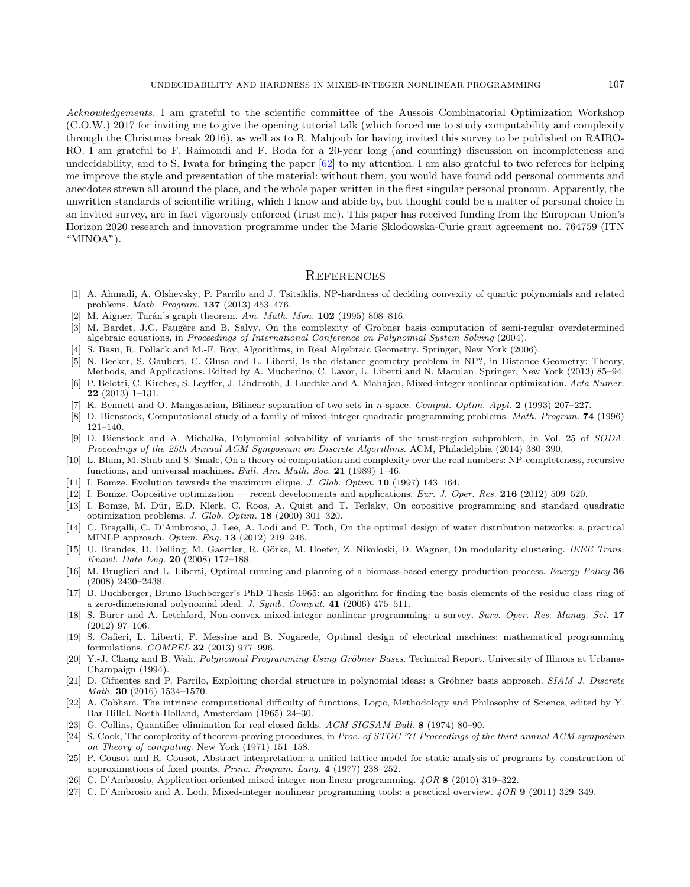Acknowledgements. I am grateful to the scientific committee of the Aussois Combinatorial Optimization Workshop (C.O.W.) 2017 for inviting me to give the opening tutorial talk (which forced me to study computability and complexity through the Christmas break 2016), as well as to R. Mahjoub for having invited this survey to be published on RAIRO-RO. I am grateful to F. Raimondi and F. Roda for a 20-year long (and counting) discussion on incompleteness and undecidability, and to S. Iwata for bringing the paper [\[62\]](#page-27-33) to my attention. I am also grateful to two referees for helping me improve the style and presentation of the material: without them, you would have found odd personal comments and anecdotes strewn all around the place, and the whole paper written in the first singular personal pronoun. Apparently, the unwritten standards of scientific writing, which I know and abide by, but thought could be a matter of personal choice in an invited survey, are in fact vigorously enforced (trust me). This paper has received funding from the European Union's Horizon 2020 research and innovation programme under the Marie Sklodowska-Curie grant agreement no. 764759 (ITN "MINOA").

### **REFERENCES**

- <span id="page-26-25"></span>[1] A. Ahmadi, A. Olshevsky, P. Parrilo and J. Tsitsiklis, NP-hardness of deciding convexity of quartic polynomials and related problems. Math. Program. 137 (2013) 453–476.
- <span id="page-26-22"></span>[2] M. Aigner, Turán's graph theorem. Am. Math. Mon.  $102$  (1995) 808-816.
- <span id="page-26-14"></span>[3] M. Bardet, J.C. Faugère and B. Salvy, On the complexity of Gröbner basis computation of semi-regular overdetermined algebraic equations, in Proceedings of International Conference on Polynomial System Solving (2004).
- <span id="page-26-10"></span>[4] S. Basu, R. Pollack and M.-F. Roy, Algorithms, in Real Algebraic Geometry. Springer, New York (2006).
- <span id="page-26-11"></span>[5] N. Beeker, S. Gaubert, C. Glusa and L. Liberti, Is the distance geometry problem in NP?, in Distance Geometry: Theory,
- <span id="page-26-5"></span>Methods, and Applications. Edited by A. Mucherino, C. Lavor, L. Liberti and N. Maculan. Springer, New York (2013) 85–94. [6] P. Belotti, C. Kirches, S. Leyffer, J. Linderoth, J. Luedtke and A. Mahajan, Mixed-integer nonlinear optimization. Acta Numer. 22 (2013) 1–131.
- <span id="page-26-24"></span>[7] K. Bennett and O. Mangasarian, Bilinear separation of two sets in n-space. Comput. Optim. Appl. 2 (1993) 207–227.
- <span id="page-26-3"></span>[8] D. Bienstock, Computational study of a family of mixed-integer quadratic programming problems. Math. Program. **74** (1996) 121–140.
- <span id="page-26-21"></span>[9] D. Bienstock and A. Michalka, Polynomial solvability of variants of the trust-region subproblem, in Vol. 25 of SODA. Proceedings of the 25th Annual ACM Symposium on Discrete Algorithms. ACM, Philadelphia (2014) 380–390.
- <span id="page-26-9"></span>[10] L. Blum, M. Shub and S. Smale, On a theory of computation and complexity over the real numbers: NP-completeness, recursive functions, and universal machines. Bull. Am. Math. Soc. 21 (1989) 1–46.
- <span id="page-26-23"></span>[11] I. Bomze, Evolution towards the maximum clique. J. Glob. Optim. 10 (1997) 143–164.
- <span id="page-26-8"></span>[12] I. Bomze, Copositive optimization — recent developments and applications. Eur. J. Oper. Res. 216 (2012) 509–520.
- <span id="page-26-26"></span>[13] I. Bomze, M. Dür, E.D. Klerk, C. Roos, A. Quist and T. Terlaky, On copositive programming and standard quadratic optimization problems. J. Glob. Optim. 18 (2000) 301–320.
- <span id="page-26-2"></span>[14] C. Bragalli, C. D'Ambrosio, J. Lee, A. Lodi and P. Toth, On the optimal design of water distribution networks: a practical MINLP approach. Optim. Eng. 13 (2012) 219–246.
- <span id="page-26-20"></span>[15] U. Brandes, D. Delling, M. Gaertler, R. Görke, M. Hoefer, Z. Nikoloski, D. Wagner, On modularity clustering. IEEE Trans. Knowl. Data Eng. 20 (2008) 172–188.
- <span id="page-26-1"></span>[16] M. Bruglieri and L. Liberti, Optimal running and planning of a biomass-based energy production process. Energy Policy 36 (2008) 2430–2438.
- <span id="page-26-12"></span>[17] B. Buchberger, Bruno Buchberger's PhD Thesis 1965: an algorithm for finding the basis elements of the residue class ring of a zero-dimensional polynomial ideal. J. Symb. Comput. 41 (2006) 475–511.
- <span id="page-26-6"></span>[18] S. Burer and A. Letchford, Non-convex mixed-integer nonlinear programming: a survey. Surv. Oper. Res. Manag. Sci. 17 (2012) 97–106.
- <span id="page-26-0"></span>[19] S. Cafieri, L. Liberti, F. Messine and B. Nogarede, Optimal design of electrical machines: mathematical programming formulations. COMPEL 32 (2013) 977–996.
- <span id="page-26-13"></span>[20] Y.-J. Chang and B. Wah, Polynomial Programming Using Gröbner Bases. Technical Report, University of Illinois at Urbana-Champaign (1994).
- <span id="page-26-15"></span>[21] D. Cifuentes and P. Parrilo, Exploiting chordal structure in polynomial ideas: a Gröbner basis approach. SIAM J. Discrete Math. 30 (2016) 1534–1570.
- <span id="page-26-18"></span>[22] A. Cobham, The intrinsic computational difficulty of functions, Logic, Methodology and Philosophy of Science, edited by Y. Bar-Hillel. North-Holland, Amsterdam (1965) 24–30.
- <span id="page-26-16"></span>[23] G. Collins, Quantifier elimination for real closed fields. ACM SIGSAM Bull. 8 (1974) 80–90.
- <span id="page-26-19"></span>[24] S. Cook, The complexity of theorem-proving procedures, in Proc. of STOC '71 Proceedings of the third annual ACM symposium on Theory of computing. New York (1971) 151–158.
- <span id="page-26-17"></span>[25] P. Cousot and R. Cousot, Abstract interpretation: a unified lattice model for static analysis of programs by construction of approximations of fixed points. Princ. Program. Lang. 4 (1977) 238–252.
- <span id="page-26-4"></span>[26] C. D'Ambrosio, Application-oriented mixed integer non-linear programming. 4OR 8 (2010) 319–322.
- <span id="page-26-7"></span>[27] C. D'Ambrosio and A. Lodi, Mixed-integer nonlinear programming tools: a practical overview. 4OR 9 (2011) 329–349.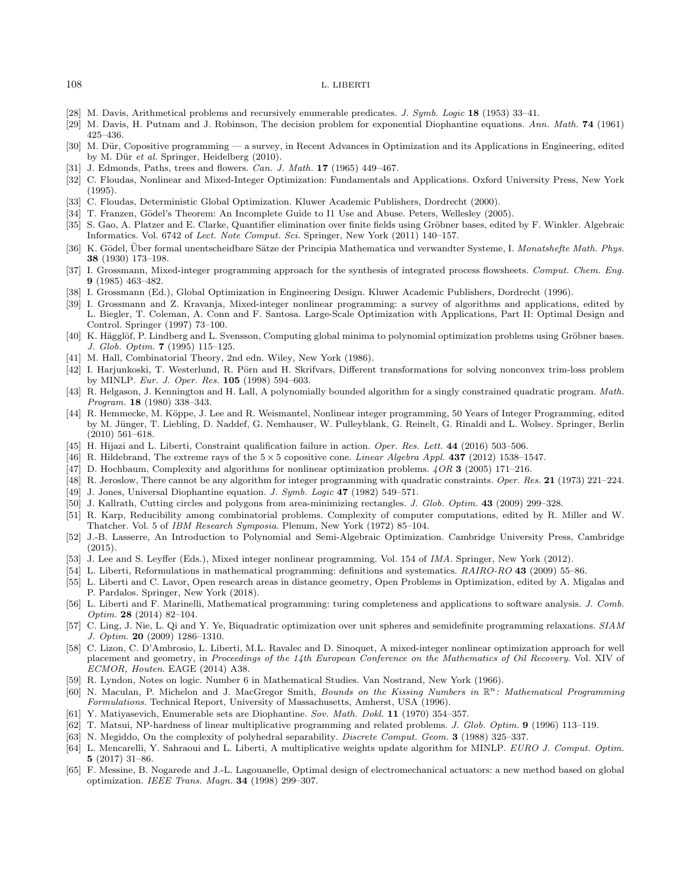- <span id="page-27-21"></span>[28] M. Davis, Arithmetical problems and recursively enumerable predicates. J. Symb. Logic 18 (1953) 33–41.
- <span id="page-27-22"></span>[29] M. Davis, H. Putnam and J. Robinson, The decision problem for exponential Diophantine equations. Ann. Math. 74 (1961) 425–436.
- <span id="page-27-13"></span>[30] M. Dür, Copositive programming — a survey, in Recent Advances in Optimization and its Applications in Engineering, edited by M. Dür et al. Springer, Heidelberg  $(2010)$ .
- <span id="page-27-28"></span>[31] J. Edmonds, Paths, trees and flowers. Can. J. Math. **17** (1965) 449-467.
- <span id="page-27-0"></span>[32] C. Floudas, Nonlinear and Mixed-Integer Optimization: Fundamentals and Applications. Oxford University Press, New York (1995).
- <span id="page-27-12"></span>[33] C. Floudas, Deterministic Global Optimization. Kluwer Academic Publishers, Dordrecht (2000).
- <span id="page-27-18"></span>[34] T. Franzen, Gödel's Theorem: An Incomplete Guide to I1 Use and Abuse. Peters, Wellesley (2005).
- <span id="page-27-19"></span>[35] S. Gao, A. Platzer and E. Clarke, Quantifier elimination over finite fields using Gröbner bases, edited by F. Winkler. Algebraic Informatics. Vol. 6742 of Lect. Note Comput. Sci. Springer, New York (2011) 140–157.
- <span id="page-27-20"></span>[36] K. Gödel, Über formal unentscheidbare Sätze der Principia Mathematica und verwandter Systeme, I. Monatshefte Math. Phys. 38 (1930) 173–198.
- <span id="page-27-1"></span>[37] I. Grossmann, Mixed-integer programming approach for the synthesis of integrated process flowsheets. Comput. Chem. Eng. 9 (1985) 463–482.
- <span id="page-27-2"></span>[38] I. Grossmann (Ed.), Global Optimization in Engineering Design. Kluwer Academic Publishers, Dordrecht (1996).
- <span id="page-27-11"></span>[39] I. Grossmann and Z. Kravanja, Mixed-integer nonlinear programming: a survey of algorithms and applications, edited by L. Biegler, T. Coleman, A. Conn and F. Santosa. Large-Scale Optimization with Applications, Part II: Optimal Design and Control. Springer (1997) 73–100.
- <span id="page-27-16"></span>[40] K. Hägglöf, P. Lindberg and L. Svensson, Computing global minima to polynomial optimization problems using Gröbner bases. J. Glob. Optim. 7 (1995) 115–125.
- <span id="page-27-36"></span>[41] M. Hall, Combinatorial Theory, 2nd edn. Wiley, New York (1986).
- <span id="page-27-6"></span>[42] I. Harjunkoski, T. Westerlund, R. Pörn and H. Skrifvars, Different transformations for solving nonconvex trim-loss problem by MINLP. Eur. J. Oper. Res. 105 (1998) 594–603.
- <span id="page-27-31"></span>[43] R. Helgason, J. Kennington and H. Lall, A polynomially bounded algorithm for a singly constrained quadratic program. Math. Program. 18 (1980) 338–343.
- <span id="page-27-10"></span>[44] R. Hemmecke, M. Köppe, J. Lee and R. Weismantel, Nonlinear integer programming, 50 Years of Integer Programming, edited by M. Jünger, T. Liebling, D. Naddef, G. Nemhauser, W. Pulleyblank, G. Reinelt, G. Rinaldi and L. Wolsey. Springer, Berlin (2010) 561–618.
- <span id="page-27-26"></span>[45] H. Hijazi and L. Liberti, Constraint qualification failure in action. Oper. Res. Lett. 44 (2016) 503-506.
- <span id="page-27-37"></span>[46] R. Hildebrand, The extreme rays of the  $5 \times 5$  copositive cone. *Linear Algebra Appl.* **437** (2012) 1538–1547.
- <span id="page-27-15"></span>[47] D. Hochbaum, Complexity and algorithms for nonlinear optimization problems.  $4OR$  3 (2005) 171–216.
- <span id="page-27-27"></span>[48] R. Jeroslow, There cannot be any algorithm for integer programming with quadratic constraints. Oper. Res. 21 (1973) 221–224.
- <span id="page-27-24"></span>[49] J. Jones, Universal Diophantine equation. J. Symb. Logic 47 (1982) 549-571.
- <span id="page-27-7"></span>[50] J. Kallrath, Cutting circles and polygons from area-minimizing rectangles. J. Glob. Optim. **43** (2009) 299–328.
- <span id="page-27-29"></span>[51] R. Karp, Reducibility among combinatorial problems. Complexity of computer computations, edited by R. Miller and W. Thatcher. Vol. 5 of IBM Research Symposia. Plenum, New York (1972) 85–104.
- <span id="page-27-34"></span>[52] J.-B. Lasserre, An Introduction to Polynomial and Semi-Algebraic Optimization. Cambridge University Press, Cambridge  $(2015)$ .
- <span id="page-27-8"></span>[53] J. Lee and S. Leyffer (Eds.), Mixed integer nonlinear programming. Vol. 154 of IMA. Springer, New York (2012).
- <span id="page-27-14"></span>[54] L. Liberti, Reformulations in mathematical programming: definitions and systematics. RAIRO-RO 43 (2009) 55–86.
- <span id="page-27-30"></span>[55] L. Liberti and C. Lavor, Open research areas in distance geometry, Open Problems in Optimization, edited by A. Migalas and P. Pardalos. Springer, New York (2018).
- <span id="page-27-25"></span>[56] L. Liberti and F. Marinelli, Mathematical programming: turing completeness and applications to software analysis. J. Comb. Optim. 28 (2014) 82–104.
- <span id="page-27-35"></span>[57] C. Ling, J. Nie, L. Qi and Y. Ye, Biquadratic optimization over unit spheres and semidefinite programming relaxations. SIAM J. Optim. 20 (2009) 1286–1310.
- <span id="page-27-4"></span>[58] C. Lizon, C. D'Ambrosio, L. Liberti, M.L. Ravalec and D. Sinoquet, A mixed-integer nonlinear optimization approach for well placement and geometry, in Proceedings of the 14th European Conference on the Mathematics of Oil Recovery. Vol. XIV of ECMOR, Houten. EAGE (2014) A38.
- <span id="page-27-17"></span>[59] R. Lyndon, Notes on logic. Number 6 in Mathematical Studies. Van Nostrand, New York (1966).
- <span id="page-27-9"></span>[60] N. Maculan, P. Michelon and J. MacGregor Smith, Bounds on the Kissing Numbers in  $\mathbb{R}^n$ : Mathematical Programming Formulations. Technical Report, University of Massachusetts, Amherst, USA (1996).
- <span id="page-27-23"></span>[61] Y. Matiyasevich, Enumerable sets are Diophantine. Sov. Math. Dokl. 11 (1970) 354–357.
- <span id="page-27-33"></span>[62] T. Matsui, NP-hardness of linear multiplicative programming and related problems. J. Glob. Optim. 9 (1996) 113–119.
- <span id="page-27-32"></span>[63] N. Megiddo, On the complexity of polyhedral separability. *Discrete Comput. Geom.* **3** (1988) 325–337.
- <span id="page-27-5"></span>[64] L. Mencarelli, Y. Sahraoui and L. Liberti, A multiplicative weights update algorithm for MINLP. EURO J. Comput. Optim. 5 (2017) 31–86.
- <span id="page-27-3"></span>[65] F. Messine, B. Nogarede and J.-L. Lagouanelle, Optimal design of electromechanical actuators: a new method based on global optimization. IEEE Trans. Magn. 34 (1998) 299–307.